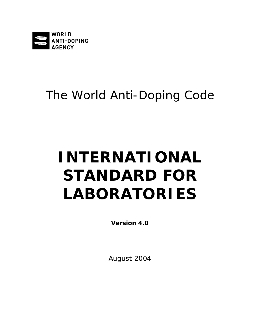

# The World Anti-Doping Code

# **INTERNATIONAL STANDARD FOR LABORATORIES**

**Version 4.0**

August 2004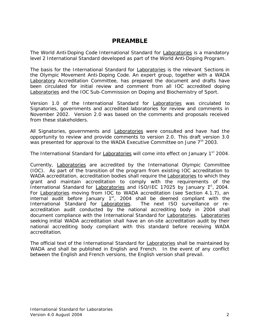# **PREAMBLE**

The World Anti-Doping *Code International Standard* for Laboratories is a mandatory level 2 *International Standard* developed as part of the World Anti-Doping Program.

The basis for the *International Standard* for Laboratories is the relevant Sections in the Olympic Movement Anti-Doping *Code*. An expert group, together with a *WADA* Laboratory Accreditation Committee, has prepared the document and drafts have been circulated for initial review and comment from all IOC accredited doping Laboratories and the IOC Sub-Commission on Doping and Biochemistry of Sport.

Version 1.0 of the *International Standard* for Laboratories was circulated to *Signatories,* governments and accredited laboratories for review and comments in November 2002. Version 2.0 was based on the comments and proposals received from these stakeholders.

All *Signatories,* governments and Laboratories were consulted and have had the opportunity to review and provide comments to version 2.0. This draft version 3.0 was presented for approval to the *WADA* Executive Committee on June 7<sup>th</sup> 2003.

The *International Standard* for Laboratories will come into effect on January 1<sup>st</sup> 2004.

Currently, Laboratories are accredited by the International Olympic Committee (IOC). As part of the transition of the program from existing IOC accreditation to *WADA* accreditation, accreditation bodies shall require the **Laboratories** to which they grant and maintain accreditation to comply with the requirements of the *International Standard* for Laboratories and ISO/IEC 17025 by January 1<sup>st</sup>, 2004. For Laboratories moving from IOC to *WADA* accreditation (see Section 4.1.7), an internal audit before January  $1<sup>st</sup>$ , 2004 shall be deemed compliant with the *International Standard* for Laboratories. The next ISO surveillance or reaccreditation audit conducted by the national accrediting body in 2004 shall document compliance with the *International Standard* for Laboratories. Laboratories seeking initial *WADA* accreditation shall have an on-site accreditation audit by their national accrediting body compliant with this standard before receiving *WADA* accreditation.

The official text of the *International Standard* for Laboratories shall be maintained by *WADA* and shall be published in English and French. In the event of any conflict between the English and French versions, the English version shall prevail.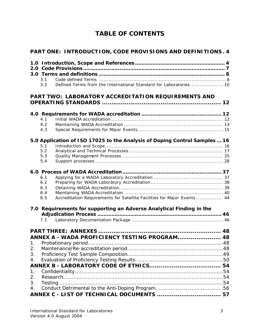# **TABLE OF CONTENTS**

|    | PART ONE: INTRODUCTION, CODE PROVISIONS AND DEFINITIONS. 4                             |  |  |  |
|----|----------------------------------------------------------------------------------------|--|--|--|
|    |                                                                                        |  |  |  |
|    |                                                                                        |  |  |  |
|    |                                                                                        |  |  |  |
|    | 3.1                                                                                    |  |  |  |
|    | Defined Terms from the International Standard for Laboratories 10<br>3.2               |  |  |  |
|    | <b>PART TWO: LABORATORY ACCREDITATION REQUIREMENTS AND</b>                             |  |  |  |
|    |                                                                                        |  |  |  |
|    |                                                                                        |  |  |  |
|    | 4.1                                                                                    |  |  |  |
|    | 4.2                                                                                    |  |  |  |
|    | 4.3                                                                                    |  |  |  |
|    | 5.0 Application of ISO 17025 to the Analysis of Doping Control Samples  16             |  |  |  |
|    | 5.1                                                                                    |  |  |  |
|    | 5.2                                                                                    |  |  |  |
|    | 5.3                                                                                    |  |  |  |
|    | 5.4                                                                                    |  |  |  |
|    |                                                                                        |  |  |  |
|    | 6.1                                                                                    |  |  |  |
|    | 6.2                                                                                    |  |  |  |
|    | 6.3                                                                                    |  |  |  |
|    | 6.4<br>Accreditation Requirements for Satellite Facilities for Major Events  44<br>6.5 |  |  |  |
|    |                                                                                        |  |  |  |
|    | 7.0 Requirements for supporting an Adverse Analytical Finding in the                   |  |  |  |
|    |                                                                                        |  |  |  |
|    | 7.1                                                                                    |  |  |  |
|    |                                                                                        |  |  |  |
|    | ANNEX A - WADA PROFICIENCY TESTING PROGRAM 48                                          |  |  |  |
| 1. | Probationary period.                                                                   |  |  |  |
| 2. |                                                                                        |  |  |  |
| 3. |                                                                                        |  |  |  |
| 4. |                                                                                        |  |  |  |
|    |                                                                                        |  |  |  |
| 1. |                                                                                        |  |  |  |
| 2. |                                                                                        |  |  |  |
| 3. |                                                                                        |  |  |  |
| 4. |                                                                                        |  |  |  |
|    |                                                                                        |  |  |  |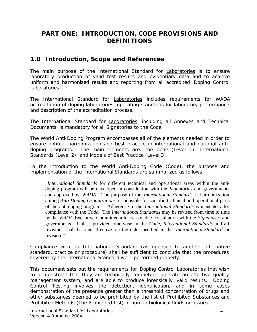# **PART ONE: INTRODUCTION,** *CODE* **PROVISIONS AND DEFINITIONS**

# **1.0 Introduction, Scope and References**

The main purpose of the *International Standard* for Laboratories is to ensure laboratory production of valid test results and evidentiary data and to achieve uniform and harmonized results and reporting from all accredited *Doping Control* Laboratories.

The *International Standard* for Laboratories includes requirements for *WADA* accreditation of doping laboratories, operating standards for laboratory performance and description of the accreditation process.

The *International Standard* for Laboratories, including all Annexes and Technical Documents, is mandatory for all *Signatories* to the *Code*.

The World Anti-Doping Program encompasses all of the elements needed in order to ensure optimal harmonization and best practice in international and national antidoping programs. The main elements are: the *Code* (Level 1), *International Standards* (Level 2), and Models of Best Practice (Level 3).

In the introduction to the World Anti-Doping *Code (Code),* the purpose and implementation of *the* International *Standards* are summarized as follows:

*"International Standards* for different technical and operational areas within the antidoping program will be developed in consultation with the *Signatories* and governments and approved by *WADA*. The purpose of the *International Standards* is harmonization among *Anti-Doping Organizations* responsible for specific technical and operational parts of the anti-doping programs. Adherence to the *International Standards* is mandatory for compliance with the *Code*. The *International Standards* may be revised from time to time by the *WADA* Executive Committee after reasonable consultation with the *Signatories* and governments. Unless provided otherwise in the *Code*, *International Standards* and all revisions shall become effective on the date specified in the *International Standard* or revision."

Compliance with an *International Standard* (as opposed to another alternative standard, practice or procedure) shall be sufficient to conclude that the procedures covered by the *International Standard* were performed properly.

This document sets out the requirements for *Doping Control* Laboratories that wish to demonstrate that they are technically competent, operate an effective quality management system, and are able to produce forensically valid results. *Doping Control Testing* involves the detection, identification, and in some cases demonstration of the presence greater than a threshold concentration of drugs and other substances deemed to be prohibited by the list of *Prohibited Substances* and *Prohibited Methods* (*The Prohibited List*) in human biological fluids or tissues.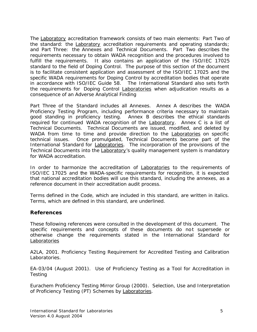The Laboratory accreditation framework consists of two main elements: Part Two of the standard: the Laboratory accreditation requirements and operating standards; and Part Three: the Annexes and Technical Documents. Part Two describes the requirements necessary to obtain *WADA* recognition and the procedures involved to fulfill the requirements. It also contains an application of the ISO/IEC 17025 standard to the field of *Doping Control*. The purpose of this section of the document is to facilitate consistent application and assessment of the ISO/IEC 17025 and the specific *WADA* requirements for *Doping Control* by accreditation bodies that operate in accordance with ISO/IEC Guide 58. The *International Standard* also sets forth the requirements for *Doping Control* Laboratories when adjudication results as a consequence of an *Adverse Analytical Finding*

Part Three of the Standard includes all Annexes. Annex A describes the *WADA* Proficiency Testing Program, including performance criteria necessary to maintain good standing in proficiency testing. Annex B describes the ethical standards required for continued *WADA* recognition of the Laboratory. Annex C is a list of Technical Documents. Technical Documents are issued, modified, and deleted by *WADA* from time to time and provide direction to the Laboratories on specific technical issues. Once promulgated, Technical Documents become part of the *International Standard* for Laboratories. The incorporation of the provisions of the Technical Documents into the Laboratory*'s* quality management system is mandatory for *WADA* accreditation.

In order to harmonize the accreditation of **Laboratories** to the requirements of ISO/IEC 17025 and the *WADA*-specific requirements for recognition, it is expected that national accreditation bodies will use this standard, including the annexes, as a reference document in their accreditation audit process.

Terms defined in the *Code*, which are included in this standard, are written in italics. Terms, which are defined in this standard, are underlined.

# **References**

These following references were consulted in the development of this document. The specific requirements and concepts of these documents do not supersede or otherwise change the requirements stated in the *International Standard* for Laboratories

A2LA, 2001. Proficiency Testing Requirement for Accredited Testing and Calibration Laboratories.

EA-03/04 (August 2001). Use of Proficiency Testing as a Tool for Accreditation in **Testing** 

Eurachem Proficiency Testing Mirror Group (2000). Selection, Use and Interpretation of Proficiency Testing (PT) Schemes by Laboratories.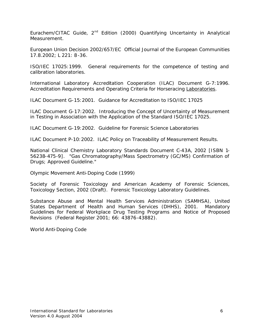Eurachem/CITAC Guide, 2<sup>nd</sup> Edition (2000) Quantifying Uncertainty in Analytical Measurement.

European Union Decision 2002/657/EC Official Journal of the European Communities 17.8.2002; L 221: 8-36.

ISO/IEC 17025:1999. General requirements for the competence of testing and calibration laboratories.

International Laboratory Accreditation Cooperation (ILAC) Document G-7:1996. Accreditation Requirements and Operating Criteria for Horseracing Laboratories.

ILAC Document G-15:2001. Guidance for Accreditation to ISO/IEC 17025

ILAC Document G-17:2002. Introducing the Concept of Uncertainty of Measurement in Testing in Association with the Application of the Standard ISO/IEC 17025.

ILAC Document G-19:2002. Guideline for Forensic Science Laboratories

ILAC Document P-10:2002. ILAC Policy on Traceability of Measurement Results.

National Clinical Chemistry Laboratory Standards Document C-43A, 2002 [ISBN 1- 56238-475-9]. "Gas Chromatography/Mass Spectrometry (GC/MS) Confirmation of Drugs; Approved Guideline."

Olympic Movement Anti-Doping Code (1999)

Society of Forensic Toxicology and American Academy of Forensic Sciences, Toxicology Section, 2002 (Draft). Forensic Toxicology Laboratory Guidelines.

Substance Abuse and Mental Health Services Administration (SAMHSA), United States Department of Health and Human Services (DHHS), 2001. Mandatory Guidelines for Federal Workplace Drug Testing Programs and Notice of Proposed Revisions(Federal Register 2001; 66: 43876-43882).

World Anti-Doping Code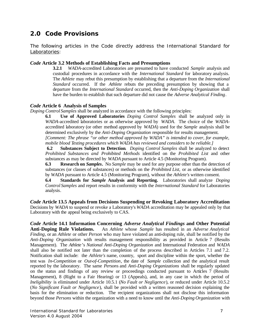# **2.0 Code Provisions**

The following articles in the *Code* directly address the *International Standard* for Laboratories:

#### *Code* **Article 3.2 Methods of Establishing Facts and Presumptions**

**3.2.1** *WADA*-accredited Laboratories are presumed to have conducted *Sample* analysis and custodial procedures in accordance with the *International Standard* for laboratory analysis. The *Athlete* may rebut this presumption by establishing that a departure from the *International Standard* occurred. If the *Athlete* rebuts the preceding presumption by showing that a departure from the *International Standard* occurred, then the *Anti-Doping Organization* shall have the burden to establish that such departure did not cause the *Adverse Analytical Finding*.

#### *Code* **Article 6 Analysis of Samples**

*Doping Control Samples* shall be analyzed in accordance with the following principles:

**6.1 Use of Approved Laboratories** *Doping Control Samples* shall be analyzed only in *WADA*-accredited laboratories or as otherwise approved by *WADA*. The choice of the *WADA*accredited laboratory (or other method approved by *WADA*) used for the *Sample* analysis shall be determined exclusively by the *Anti-Doping Organization* responsible for results management. *[Comment: The phrase "or other method approved by WADA" is intended to cover, for example,* 

*mobile blood Testing procedures which WADA has reviewed and considers to be reliable.]*

**6.2 Substances Subject to Detection**. *Doping Control Samples* shall be analyzed to detect *Prohibited Substances and Prohibited Methods* identified on the *Prohibited List* and other substances as may be directed by *WADA* pursuant to Article 4.5 (Monitoring Program).

**6.3 Research on** *Samples***.** No *Sample* may be used for any purpose other than the detection of substances (or classes of substances) or methods on the *Prohibited List,* or as otherwise identified by *WADA* pursuant to Article 4.5 (Monitoring Program), without the *Athlete's* written consent.

**6.4 Standards for** *Sample* **Analysis and Reporting.** Laboratories shall analyze *Doping Control Samples* and report results in conformity with the *International Standard* for Laboratories analysis.

*Code* **Article 13.5 Appeals from Decisions Suspending or Revoking Laboratory Accreditation**  Decisions by *WADA* to suspend or revoke a Laboratory's *WADA* accreditation may be appealed only by that Laboratory with the appeal being exclusively to CAS.

*Code* **Article 14.1 Information Concerning** *Adverse Analytical Findings* **and Other Potential Anti-Doping Rule Violations.** An *Athlete* whose *Sample* has resulted in an *Adverse Analytical Finding*, or an *Athlete* or other *Person* who may have violated an anti-doping rule, shall be notified by the *Anti-Doping Organization* with results management responsibility as provided in Article 7 (Results Management). The *Athlete*'s *National Anti-Doping Organization* and International Federation and *WADA* shall also be notified not later than the completion of the process described in Articles 7.1 and 7.2. Notification shall include: the *Athlete's* name, country, sport and discipline within the sport, whether the test was *In-Competition* or *Out-of-Competition*, the date of *Sample* collection and the analytical result reported by the laboratory. The same *Person*s and *Anti-Doping Organizations* shall be regularly updated on the status and findings of any review or proceedings conducted pursuant to Articles 7 (Results Management), 8 (Right to a Fair Hearing) or 13 (Appeals), and, in any case in which the period of *Ineligibility* is eliminated under Article 10.5.1 (*No Fault or Negligence*), or reduced under Article 10.5.2 (*No Significant Fault or Negligence*), shall be provided with a written reasoned decision explaining the basis for the elimination or reduction. The recipient organizations shall not disclose this information beyond those *Persons* within the organization with a need to know until the *Anti-Doping Organization* with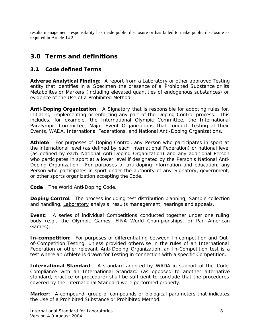results management responsibility has made public disclosure or has failed to make public disclosure as required in Article 14.2.

# **3.0 Terms and definitions**

# **3.1 Code defined Terms**

*Adverse Analytical Finding:* A report from a Laboratory or other approved *Testing* entity that identifies in a *Specimen* the presence of a *Prohibited Substance* or its *Metabolites* or *Markers* (including elevated quantities of endogenous substances) or evidence of the *Use* of a *Prohibited Method*.

*Anti-Doping Organization:* A *Signatory* that is responsible for adopting rules for, initiating, implementing or enforcing any part of the *Doping Control* process. This includes, for example, the International Olympic Committee, the International Paralympic Committee, *Major Event Organizations* that conduct *Testing* at their *Events*, *WADA*, International Federations, and *National Anti-Doping Organizations.*

*Athlete:* For purposes of *Doping Control*, any *Person* who participates in sport at the international level (as defined by each International Federation) or national level (as defined by each *National Anti-Doping Organization*) and any additional *Person* who participates in sport at a lower level if designated by the *Person's National Anti-Doping Organization*. For purposes of anti-doping information and education, any *Person* who participates in sport under the authority of any *Signatory*, government, or other sports organization accepting the *Code*.

*Code:* The World Anti-Doping Code.

*Doping Control:* The process including test distribution planning, *Sample* collection and handling, Laboratory analysis, results management, hearings and appeals.

*Event:* A series of individual *Competitions* conducted together under one ruling body (e.g., the Olympic Games, FINA World Championships, or Pan American Games).

*In-competition:* For purposes of differentiating between *In-competition* and *Outof-Competition Testing*, unless provided otherwise in the rules of an International Federation or other relevant *Anti-Doping Organization*, an *In-Competition* test is a test where an *Athlete* is drawn for *Testing* in connection with a specific *Competition*.

*International Standard:* A standard adopted by *WADA* in support of the *Code*. Compliance with an *International Standard* (as opposed to another alternative standard, practice or procedure) shall be sufficient to conclude that the procedures covered by the *International Standard* were performed properly.

*Marker*: A compound, group of compounds or biological parameters that indicates the *Use* of a *Prohibited Substance* or *Prohibited Method.*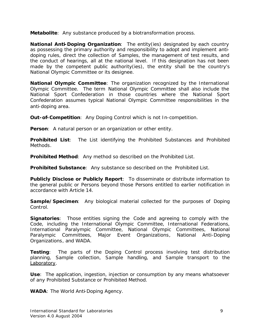*Metabolite*: Any substance produced by a biotransformation process.

*National Anti-Doping Organization:* The entity(ies) designated by each country as possessing the primary authority and responsibility to adopt and implement antidoping rules, direct the collection of *Samples*, the management of test results, and the conduct of hearings, all at the national level. If this designation has not been made by the competent public authority(ies), the entity shall be the country's *National Olympic Committee* or its designee.

*National Olympic Committee:* The organization recognized by the International Olympic Committee. The term *National Olympic Committee* shall also include the National Sport Confederation in those countries where the National Sport Confederation assumes typical *National Olympic Committee* responsibilities in the anti-doping area.

*Out-of-Competition:* Any *Doping Control* which is not *In-competition*.

**Person:** A natural person or an organization or other entity.

*Prohibited List:* The List identifying the *Prohibited Substances* and *Prohibited Methods*.

*Prohibited Method*: Any method so described on the *Prohibited List*.

*Prohibited Substance:* Any substance so described on the *Prohibited List*.

*Publicly Disclose or Publicly Report:* To disseminate or distribute information to the general public or *Persons* beyond those *Persons* entitled to earlier notification in accordance with Article 14.

*Sample/Specimen*: Any biological material collected for the purposes of *Doping Control*.

*Signatories:* Those entities signing the *Code* and agreeing to comply with the *Code*, including the International Olympic Committee, International Federations, International Paralympic Committee, *National Olympic Committee*s, National Paralympic Committees, *Major Event Organizations*, *National Anti-Doping Organizations*, and *WADA*.

*Testing:* The parts of the *Doping Control* process involving test distribution planning, *Sample* collection, *Sample* handling, and *Sample* transport to the Laboratory.

**Use**: The application, ingestion, injection or consumption by any means whatsoever of any *Prohibited Substance* or *Prohibited Method*.

*WADA:* The World Anti-Doping Agency.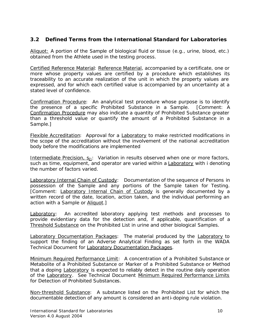# **3.2 Defined Terms from the** *International Standard* **for Laboratories**

Aliquot: A portion of the *Sample* of biological fluid or tissue (e.g., urine, blood, etc.) obtained from the *Athlete* used in the testing process.

Certified Reference Material: Reference Material, accompanied by a certificate, one or more whose property values are certified by a procedure which establishes its traceability to an accurate realization of the unit in which the property values are expressed, and for which each certified value is accompanied by an uncertainty at a stated level of confidence.

Confirmation Procedure: An analytical test procedure whose purpose is to identify the presence of a specific *Prohibited Substance* in a *Sample*. [*Comment: A Confirmation Procedure may also indicate a quantity of Prohibited Substance greater than a threshold value or quantify the amount of a Prohibited Substance in a Sample.*]

Flexible Accreditation:Approval for a Laboratory to make restricted modifications in the scope of the accreditation without the involvement of the national accreditation body before the modifications are implemented

Intermediate Precision, S<sub>Zi</sub>: Variation in results observed when one or more factors, such as time, equipment, and operator are varied within a Laboratory with i denoting the number of factors varied.

Laboratory Internal Chain of Custody:Documentation of the sequence of *Persons* in possession of the *Sample* and any portions of the *Sample* taken for *Testing*. *[Comment: Laboratory Internal Chain of Custody is generally documented by a written record of the date, location, action taken, and the individual performing an action with a Sample or Aliquot.]*

**Laboratory:** An accredited laboratory applying test methods and processes to provide evidentiary data for the detection and, if applicable, quantification of a Threshold Substance on the *Prohibited List* in urine and other biological *Samples*.

Laboratory Documentation Packages: The material produced by the Laboratory to support the finding of an *Adverse Analytical Finding* as set forth in the *WADA* Technical Document for Laboratory Documentation Packages.

Minimum Required Performance Limit: A concentration of a *Prohibited Substance* or *Metabolite* of a *Prohibited Substance* or *Marker* of a *Prohibited Substance* or *Method* that a doping Laboratory is expected to reliably detect in the routine daily operation of the Laboratory. See Technical Document Minimum Required Performance Limits for Detection of *Prohibited Substance*s.

Non-threshold Substance: A substance listed on the *Prohibited List* for which the documentable detection of any amount is considered an anti-doping rule violation.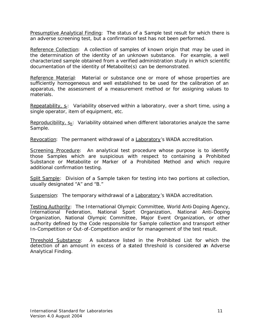Presumptive Analytical Finding: The status of a *Sample* test result for which there is an adverse screening test, but a confirmation test has not been performed.

Reference Collection: A collection of samples of known origin that may be used in the determination of the identity of an unknown substance. For example, a well characterized sample obtained from a verified administration study in which scientific documentation of the identity of *Metabolite(s)* can be demonstrated.

Reference Material: Material or substance one or more of whose properties are sufficiently homogeneous and well established to be used for the calibration of an apparatus, the assessment of a measurement method or for assigning values to materials.

Repeatability, s<sub>r</sub>: Variability observed within a laboratory, over a short time, using a single operator, item of equipment, etc.

Reproducibility,  $S_R$ : Variability obtained when different laboratories analyze the same *Sample*.

Revocation:The permanent withdrawal of a Laboratory's *WADA* accreditation.

Screening Procedure: An analytical test procedure whose purpose is to identify those *Samples* which are suspicious with respect to containing a *Prohibited Substance* or *Metabolite* or *Marker* of a *Prohibited Method* and which require additional confirmation testing.

Split Sample: Division of a *Sample* taken for testing into two portions at collection, usually designated "A" and "B."

Suspension:The temporary withdrawal of a Laboratory's *WADA* accreditation.

Testing Authority: The International Olympic Committee, World Anti-Doping Agency, International Federation, National Sport Organization, *National Anti-Doping Organization*, *National Olympic Committee*, *Major Event Organization*, or other authority defined by the *Code* responsible for *Sample* collection and transport either *In-Competition* or *Out-of-Competition* and/or for management of the test result.

Threshold Substance: A substance listed in the *Prohibited List* for which the detection of an amount in excess of a stated threshold is considered an *Adverse Analytical Finding*.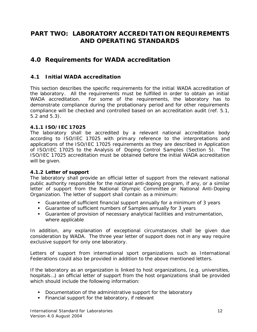# **PART TWO: LABORATORY ACCREDITATION REQUIREMENTS AND OPERATING STANDARDS**

# **4.0 Requirements for WADA accreditation**

# **4.1 Initial** *WADA* **accreditation**

This section describes the specific requirements for the initial *WADA* accreditation of the laboratory. All the requirements must be fulfilled in order to obtain an initial *WADA* accreditation. For some of the requirements, the laboratory has to demonstrate compliance during the probationary period and for other requirements compliance will be checked and controlled based on an accreditation audit (ref. 5.1, 5.2 and 5.3).

# **4.1.1 ISO/IEC 17025**

The laboratory shall be accredited by a relevant national accreditation body according to ISO/IEC 17025 with primary reference to the interpretations and applications of the ISO/IEC 17025 requirements as they are described in Application of ISO/IEC 17025 to the Analysis of *Doping Control Samples* (Section 5). The ISO/IEC 17025 accreditation must be obtained before the initial *WADA* accreditation will be given.

# **4.1.2 Letter of support**

The laboratory shall provide an official letter of support from the relevant national public authority responsible for the national anti-doping program, if any, or a similar letter of support from the *National Olympic Committee* or *National Anti-Doping Organization*. The letter of support shall contain as a minimum:

- ß Guarantee of sufficient financial support annually for a minimum of 3 years
- ß Guarantee of sufficient numbers of *Samples* annually for 3 years
- **Guarantee of provision of necessary analytical facilities and instrumentation,** where applicable

In addition, any explanation of exceptional circumstances shall be given due consideration by *WADA*. The three year letter of support does not in any way require exclusive support for only one laboratory.

Letters of support from international sport organizations such as International Federations could also be provided in addition to the above mentioned letters.

If the laboratory as an organization is linked to host organizations, (e.g. universities, hospitals…) an official letter of support from the host organizations shall be provided which should include the following information:

- Documentation of the administrative support for the laboratory
- **Financial support for the laboratory, if relevant**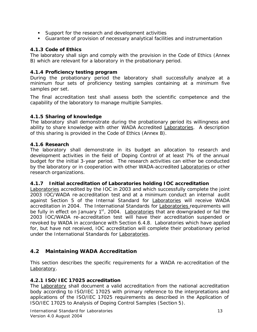- **Support for the research and development activities**
- **Guarantee of provision of necessary analytical facilities and instrumentation**

# **4.1.3 Code of Ethics**

The laboratory shall sign and comply with the provision in the Code of Ethics (Annex B) which are relevant for a laboratory in the probationary period.

# **4.1.4 Proficiency testing program**

During the probationary period the laboratory shall successfully analyze at a minimum four sets of proficiency testing samples containing at a minimum five samples per set.

The final accreditation test shall assess both the scientific competence and the capability of the laboratory to manage multiple *Samples*.

# **4.1.5 Sharing of knowledge**

The laboratory shall demonstrate during the probationary period its willingness and ability to share knowledge with other *WADA* Accredited Laboratories. A description of this sharing is provided in the Code of Ethics (Annex B).

# **4.1.6 Research**

The laboratory shall demonstrate in its budget an allocation to research and development activities in the field of *Doping Control* of at least 7% of the annual budget for the initial 3-year period. The research activities can either be conducted by the laboratory or in cooperation with other *WADA*-accredited Laboratories or other research organizations.

# **4.1.7 Initial accreditation of Laboratories holding IOC accreditation**

Laboratories accredited by the IOC in 2003 and which successfully complete the joint 2003 IOC/*WADA* re-accreditation test and at a minimum conduct an internal audit against Section 5 of the *Internal Standard* for Laboratories will receive *WADA* accreditation in 2004. The *International Standards* for Laboratories requirements will be fully in effect on January  $1<sup>st</sup>$ , 2004. Laboratories that are downgraded or fail the 2003 IOC/*WADA* re-accreditation test will have their accreditation suspended or revoked by *WADA* in accordance with Section 6.4.8. Laboratories which have applied for, but have not received, IOC accreditation will complete their probationary period under the *International Standards* for Laboratories.

# **4.2 Maintaining** *WADA* **Accreditation**

This section describes the specific requirements for a *WADA* re-accreditation of the Laboratory.

# **4.2.1 ISO/IEC 17025 accreditation**

The Laboratory shall document a valid accreditation from the national accreditation body according to ISO/IEC 17025 with primary reference to the interpretations and applications of the ISO/IEC 17025 requirements as described in the Application of ISO/IEC 17025 to Analysis of *Doping Control Samples* (Section 5).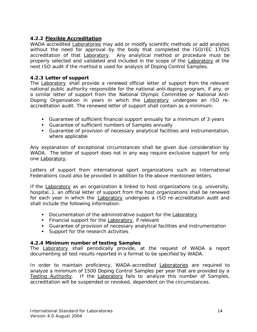# **4.2.2 Flexible Accreditation**

*WADA* accredited Laboratories may add or modify scientific methods or add analytes without the need for approval by the body that completed the ISO/IEC 17025 accreditation of that Laboratory. Any analytical method or procedure must be properly selected and validated and included in the scope of the Laboratory at the next ISO audit if the method is used for analysis of *Doping Control Samples*.

#### **4.2.3 Letter of support**

The Laboratory shall provide a renewed official letter of support from the relevant national public authority responsible for the national anti-doping program, if any, or a similar letter of support from the *National Olympic Committee* or *National Anti-Doping Organization* in years in which the Laboratory undergoes an ISO reaccreditation audit. The renewed letter of support shall contain as a minimum:

- ß Guarantee of sufficient financial support annually for a minimum of 3 years
- ß Guarantee of sufficient numbers of *Samples* annually
- **Guarantee of provision of necessary analytical facilities and instrumentation,** where applicable

Any explanation of exceptional circumstances shall be given due consideration by *WADA*. The letter of support does not in any way require exclusive support for only one Laboratory.

Letters of support from international sport organizations such as International Federations could also be provided in addition to the above mentioned letters.

If the **Laboratory** as an organization is linked to host organizations (e.g. university, hospital…), an official letter of support from the host organizations shall be renewed for each year in which the **Laboratory** undergoes a ISO re-accreditation audit and shall include the following information:

- Documentation of the administrative support for the Laboratory
- **Financial support for the Laboratory, if relevant**
- **Guarantee of provision of necessary analytical facilities and instrumentation**
- **Support for the research activities**

#### **4.2.4 Minimum number of** *testing Samples*

The Laboratory shall periodically provide, at the request of *WADA* a report documenting all test results reported in a format to be specified by *WADA*.

In order to maintain proficiency, *WADA*-accredited Laboratories are required to analyze a minimum of 1500 *Doping Control Samples* per year that are provided by a Testing Authority. If the Laboratory fails to analyze this number of *Samples*, accreditation will be suspended or revoked, dependent on the circumstances.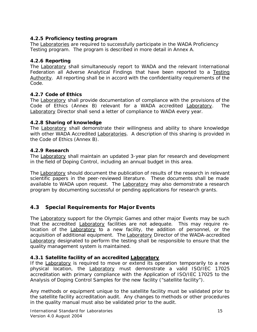# **4.2.5 Proficiency testing program**

The Laboratories are required to successfully participate in the *WADA* Proficiency Testing program. The program is described in more detail in Annex A.

# **4.2.6 Reporting**

The Laboratory shall simultaneously report to *WADA* and the relevant International Federation all *Adverse Analytical Findings* that have been reported to a Testing Authority. All reporting shall be in accord with the confidentiality requirements of the *Code*.

# **4.2.7 Code of Ethics**

The Laboratory shall provide documentation of compliance with the provisions of the Code of Ethics (Annex B) relevant for a *WADA* accredited Laboratory. The Laboratory Director shall send a letter of compliance to *WADA* every year.

# **4.2.8 Sharing of knowledge**

The Laboratory shall demonstrate their willingness and ability to share knowledge with other *WADA* Accredited Laboratories. A description of this sharing is provided in the Code of Ethics (Annex B).

# **4.2.9 Research**

The Laboratory shall maintain an updated 3-year plan for research and development in the field of *Doping Control*, including an annual budget in this area.

The Laboratory should document the publication of results of the research in relevant scientific papers in the peer-reviewed literature. These documents shall be made available to *WADA* upon request. The Laboratory may also demonstrate a research program by documenting successful or pending applications for research grants.

# **4.3 Special Requirements for Major** *Events*

The Laboratory support for the Olympic Games and other major *Events* may be such that the accredited Laboratory facilities are not adequate. This may require relocation of the **Laboratory** to a new facility, the addition of personnel, or the acquisition of additional equipment. The Laboratory Director of the *WADA*-accredited Laboratory designated to perform the testing shall be responsible to ensure that the quality management system is maintained.

# **4.3.1 Satellite facility of an accredited Laboratory**

If the Laboratory is required to move or extend its operation temporarily to a new physical location, the Laboratory must demonstrate a valid ISO/IEC 17025 accreditation with primary compliance with the Application of ISO/IEC 17025 to the Analysis of *Doping Control Samples* for the new facility ("satellite facility").

Any methods or equipment unique to the satellite facility must be validated prior to the satellite facility accreditation audit. Any changes to methods or other procedures in the quality manual must also be validated prior to the audit.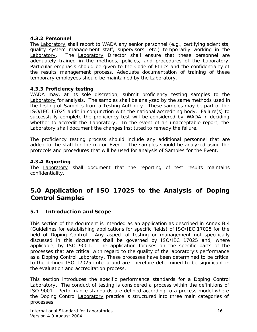# **4.3.2 Personnel**

The Laboratory shall report to *WADA* any senior personnel (e.g., certifying scientists, quality system management staff, supervisors, etc.) temporarily working in the Laboratory. The Laboratory Director shall ensure that these personnel are adequately trained in the methods, policies, and procedures of the Laboratory. Particular emphasis should be given to the Code of Ethics and the confidentiality of the results management process. Adequate documentation of training of these temporary employees should be maintained by the **Laboratory**.

# **4.3.3 Proficiency testing**

*WADA* may, at its sole discretion, submit proficiency testing samples to the Laboratory for analysis. The samples shall be analyzed by the same methods used in the testing of *Samples* from a Testing Authority. These samples may be part of the ISO/IEC 17025 audit in conjunction with the national accrediting body. Failure(s) to successfully complete the proficiency test will be considered by *WADA* in deciding whether to accredit the Laboratory. In the event of an unacceptable report, the Laboratory shall document the changes instituted to remedy the failure.

The proficiency testing process should include any additional personnel that are added to the staff for the major *Event*. The samples should be analyzed using the protocols and procedures that will be used for analysis of *Samples* for the *Event*.

# **4.3.4 Reporting**

The Laboratory shall document that the reporting of test results maintains confidentiality.

# **5.0 Application of ISO 17025 to the Analysis of Doping Control Samples**

# **5.1 Introduction and Scope**

This section of the document is intended as an application as described in Annex B.4 (Guidelines for establishing applications for specific fields) of ISO/IEC 17025 for the field of *Doping Control*. Any aspect of testing or management not specifically discussed in this document shall be governed by ISO/IEC 17025 and, where applicable, by ISO 9001. The application focuses on the specific parts of the processes that are critical with regard to the quality of the laboratory's performance as a *Doping Control* Laboratory. These processes have been determined to be critical to the defined ISO 17025 criteria and are therefore determined to be significant in the evaluation and accreditation process.

This section introduces the specific performance standards for a *Doping Control* Laboratory. The conduct of testing is considered a process within the definitions of ISO 9001. Performance standards are defined according to a process model where the *Doping Control* Laboratory practice is structured into three main categories of processes: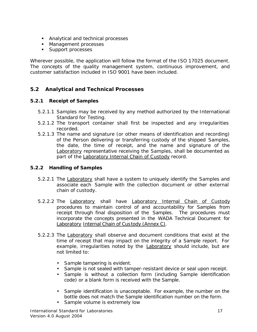- **Analytical and technical processes**
- Management processes
- **Support processes**

Wherever possible, the application will follow the format of the ISO 17025 document. The concepts of the quality management system, continuous improvement, and customer satisfaction included in ISO 9001 have been included.

# **5.2 Analytical and Technical Processes**

# **5.2.1 Receipt of** *Samples*

- 5.2.1.1 *Samples* may be received by any method authorized by *the International Standard* for Testing.
- 5.2.1.2 The transport container shall first be inspected and any irregularities recorded.
- 5.2.1.3 The name and signature (or other means of identification and recording) of the *Person* delivering or transferring custody of the shipped *Samples*, the date, the time of receipt, and the name and signature of the Laboratory representative receiving the *Samples*, shall be documented as part of the Laboratory Internal Chain of Custody record.

# **5.2.2 Handling of** *Samples*

- 5.2.2.1 The Laboratory shall have a system to uniquely identify the *Samples* and associate each *Sample* with the collection document or other external chain of custody.
- 5.2.2.2 The Laboratory shall have Laboratory Internal Chain of Custody procedures to maintain control of and accountability for *Samples* from receipt through final disposition of the *Samples*. The procedures must incorporate the concepts presented in the *WADA* Technical Document for Laboratory Internal Chain of Custody (Annex C).
- 5.2.2.3 The Laboratory shall observe and document conditions that exist at the time of receipt that may impact on the integrity of a *Sample* report. For example, irregularities noted by the **Laboratory** should include, but are not limited to:
	- *Sample* tampering is evident.
	- *Sample* is not sealed with tamper-resistant device or seal upon receipt.
	- *Sample* is without a collection form (including *Sample* identification code) or a blank form is received with the *Sample*.
	- *Sample* identification is unacceptable. For example, the number on the bottle does not match the *Sample* identification number on the form.
	- *Sample* volume is extremely low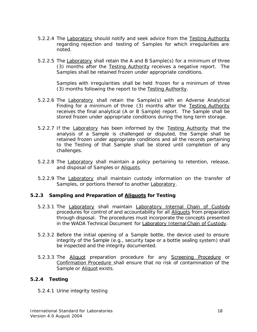- 5.2.2.4 The Laboratory should notify and seek advice from the Testing Authority regarding rejection and testing of *Samples* for which irregularities are noted.
- 5.2.2.5 The Laboratory shall retain the A and B *Sample*(s) for a minimum of three (3) months after the Testing Authority receives a negative report. The *Samples* shall be retained frozen under appropriate conditions.

*Samples* with irregularities shall be held frozen for a minimum of three (3) months following the report to the Testing Authority.

- 5.2.2.6 The Laboratory shall retain the *Sample(s)* with an *Adverse Analytical Finding* for a minimum of three (3) months after the Testing Authority receives the final analytical (A or B *Sample*) report. The *Sample* shall be stored frozen under appropriate conditions during the long term storage.
- 5.2.2.7 If the Laboratory has been informed by the Testing Authority that the analysis of a *Sample* is challenged or disputed, the *Sample* shall be retained frozen under appropriate conditions and all the records pertaining to the *Testing* of that *Sample* shall be stored until completion of any challenges.
- 5.2.2.8 The Laboratory shall maintain a policy pertaining to retention, release, and disposal of *Samples* or Aliquots.
- 5.2.2.9 The Laboratory shall maintain custody information on the transfer of Samples, or portions thereof to another **Laboratory**.

# **5.2.3 Sampling and Preparation of Aliquots for Testing**

- 5.2.3.1 The Laboratory shall maintain Laboratory Internal Chain of Custody procedures for control of and accountability for all **Aliquots** from preparation through disposal. The procedures must incorporate the concepts presented in the *WADA* Technical Document for Laboratory Internal Chain of Custody.
- 5.2.3.2 Before the initial opening of a *Sample* bottle, the device used to ensure integrity of the *Sample* (e.g., security tape or a bottle sealing system) shall be inspected and the integrity documented.
- 5.2.3.3 The **Aliquot** preparation procedure for any **Screening Procedure** or Confirmation Procedure shall ensure that no risk of contamination of the *Sample* or Aliquot exists.

#### **5.2.4 Testing**

5.2.4.1 Urine integrity testing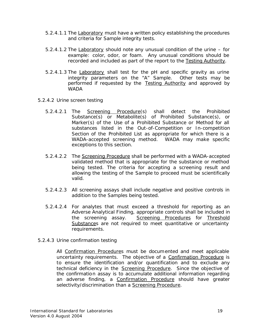- 5.2.4.1.1 The Laboratory must have a written policy establishing the procedures and criteria for *Sample* integrity tests.
- 5.2.4.1.2 The Laboratory should note any unusual condition of the urine for example: color, odor, or foam. Any unusual conditions should be recorded and included as part of the report to the Testing Authority.
- 5.2.4.1.3 The Laboratory shall test for the pH and specific gravity as urine integrity parameters on the "A" *Sample*. Other tests may be performed if requested by the Testing Authority and approved by *WADA*
- 5.2.4.2 Urine screen testing
	- 5.2.4.2.1 The Screening Procedure(s) shall detect the *Prohibited Substance*(s) or *Metabolite(s)* of *Prohibited Substance*(s), or *Marker*(s) of the *Use* of a *Prohibited Substance* or *Method* for all substances listed in the *Out-of-Competition* or *In-competition* Section of the *Prohibited List as appropriate* for which there is a *WADA*-accepted screening method. *WADA* may make specific exceptions to this section.
	- 5.2.4.2.2 The Screening Procedure shall be performed with a *WADA*-accepted validated method that is appropriate for the substance or method being tested. The criteria for accepting a screening result and allowing the testing of the *Sample* to proceed must be scientifically valid.
	- 5.2.4.2.3 All screening assays shall include negative and positive controls in addition to the *Samples* being tested.
	- 5.2.4.2.4 For analytes that must exceed a threshold for reporting as an *Adverse Analytical Finding*, appropriate controls shall be included in the screening assay. Screening Procedures for Threshold Substances are not required to meet quantitative or uncertainty requirements.
- 5.2.4.3 Urine confirmation testing

All Confirmation Procedures must be documented and meet applicable uncertainty requirements. The objective of a Confirmation Procedure is to ensure the identification and/or quantification and to exclude any technical deficiency in the Screening Procedure. Since the objective of the confirmation assay is to accumulate additional information regarding an adverse finding, a Confirmation Procedure should have greater selectivity/discrimination than a Screening Procedure.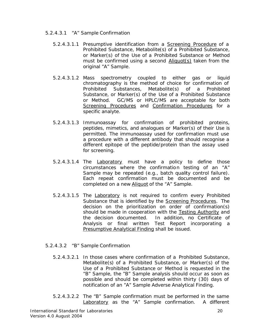- 5.2.4.3.1 "A" *Sample* Confirmation
	- 5.2.4.3.1.1 Presumptive identification from a Screening Procedure of a *Prohibited Substance*, *Metabolite*(s) of a *Prohibited Substance*, or *Marker*(s) of the *Use* of a *Prohibited Substance* or *Method* must be confirmed using a second Aliquot(s) taken from the original "A" *Sample*.
	- 5.2.4.3.1.2 Mass spectrometry coupled to either gas or liquid chromatography is the method of choice for confirmation of *Prohibited Substances*, *Metabolite*(s) of a *Prohibited Substance*, or *Marker*(s) of the *Use* of a *Prohibited Substance* or *Method*. GC/MS or HPLC/MS are acceptable for both Screening Procedures and Confirmation Procedures for a specific analyte.
	- 5.2.4.3.1.3 Immunoassay for confirmation of prohibited proteins, peptides, mimetics, and analogues or *Marker*(s) of their *Use* is permitted. The immunoassay used for confirmation must use a procedure with a different antibody that should recognise a different epitope of the peptide/protein than the assay used for screening.
	- 5.2.4.3.1.4 The Laboratory must have a policy to define those circumstances where the confirmation testing of an "A" *Sample* may be repeated (e.g., batch quality control failure). Each repeat confirmation must be documented and be completed on a new Aliquot of the "A" *Sample*.
	- 5.2.4.3.1.5 The Laboratory is not required to confirm every *Prohibited Substance* that is identified by the Screening Procedures. The decision on the prioritization on order of confirmation(s) should be made in cooperation with the Testing Authority and the decision documented. In addition, no Certificate of Analysis or final written Test Report incorporating a Presumptive Analytical Finding shall be issued.
- 5.2.4.3.2 "B" *Sample* Confirmation
	- 5.2.4.3.2.1 In those cases where confirmation of a *Prohibited Substance*, *Metabolite(s*) of a *Prohibited Substance*, or *Marker*(s) of the *Use* of a *Prohibited Substance* or *Method* is requested in the "B" *Sample*, the "B" *Sample* analysis should occur as soon as possible and should be completed within thirty (30) days of notification of an "A" *Sample Adverse Analytical Finding.*
	- 5.2.4.3.2.2 The "B" *Sample* confirmation must be performed in the same Laboratory as the "A" *Sample* confirmation. A different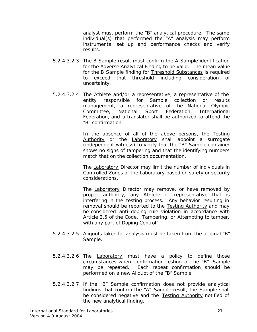analyst must perform the "B" analytical procedure. The same individual(s) that performed the "A" analysis may perform instrumental set up and performance checks and verify results.

- 5.2.4.3.2.3 The B *Sample* result must confirm the A *Sample* identification for the *Adverse Analytical Finding* to be valid. The mean value for the B *Sample* finding for Threshold Substances is required to exceed that threshold including consideration of uncertainty.
- 5.2.4.3.2.4 The *Athlete and/or a* representative, a representative of the entity responsible for *Sample* collection or results management, a representative of the *National Olympic Committee*, National Sport Federation, International Federation, and a translator shall be authorized to attend the "B" confirmation.

In the absence of all of the above persons, the Testing Authority or the Laboratory shall appoint a surrogate (independent witness) to verify that the "B" *Sample* container shows no signs of tampering and that the identifying numbers match that on the collection documentation.

The Laboratory Director may limit the number of individuals in Controlled Zones of the Laboratory based on safety or security considerations.

The Laboratory Director may remove, or have removed by proper authority, any *Athlete* or representative that is interfering in the testing process. Any behavior resulting in removal should be reported to the Testing Authority and may be considered anti–*doping rule violation in accordance with Article 2.5 of the Code*, "*Tampering*, or *Attempting* to tamper, with any part of *Doping Control*".

- 5.2.4.3.2.5 Aliquots taken for analysis must be taken from the original "B" *Sample*.
- 5.2.4.3.2.6 The Laboratory must have a policy to define those circumstances when confirmation testing of the "B" *Sample* may be repeated. Each repeat confirmation should be performed on a new Aliquot of the "B" *Sample*.
- 5.2.4.3.2.7 If the "B" *Sample* confirmation does not provide analytical findings that confirm the "A" *Sample* result, the *Sample* shall be considered negative and the Testing Authority notified of the new analytical finding.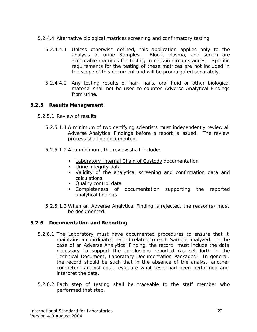- 5.2.4.4 Alternative biological matrices screening and confirmatory testing
	- 5.2.4.4.1 Unless otherwise defined, this application applies only to the analysis of urine *Samples*. Blood, plasma, and serum are acceptable matrices for testing in certain circumstances. Specific requirements for the testing of these matrices are not included in the scope of this document and will be promulgated separately.
	- 5.2.4.4.2 Any testing results of hair, nails, oral fluid or other biological material shall not be used to counter *Adverse Analytical Findings* from urine.

# **5.2.5 Results Management**

- 5.2.5.1 Review of results
	- 5.2.5.1.1 A minimum of two certifying scientists must independently review all *Adverse Analytical Findings* before a report is issued. The review process shall be documented.
	- 5.2.5.1.2 At a minimum, the review shall include:
		- Laboratory Internal Chain of Custody documentation
		- Urine integrity data
		- Validity of the analytical screening and confirmation data and calculations
		- Quality control data
		- Completeness of documentation supporting the reported analytical findings
	- 5.2.5.1.3 When an *Adverse Analytical Finding* is rejected, the reason(s) must be documented.

# **5.2.6 Documentation and Reporting**

- 5.2.6.1 The Laboratory must have documented procedures to ensure that it maintains a coordinated record related to each *Sample* analyzed. In the case of an *Adverse Analytical Finding*, the record must include the data necessary to support the conclusions reported (as set forth in the Technical Document*,* Laboratory Documentation Packages) In general, the record should be such that in the absence of the analyst, another competent analyst could evaluate what tests had been performed and interpret the data.
- 5.2.6.2 Each step of testing shall be traceable to the staff member who performed that step.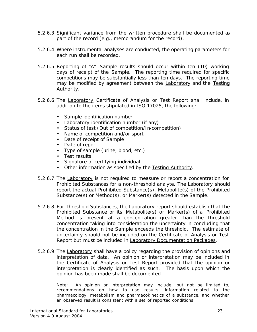- 5.2.6.3 Significant variance from the written procedure shall be documented as part of the record (e.g., memorandum for the record).
- 5.2.6.4 Where instrumental analyses are conducted, the operating parameters for each run shall be recorded.
- 5.2.6.5 Reporting of "A" *Sample* results should occur within ten (10) working days of receipt of the *Sample*. The reporting time required for specific competitions may be substantially less than ten days. The reporting time may be modified by agreement between the **Laboratory** and the Testing Authority.
- 5.2.6.6 The Laboratory Certificate of Analysis or Test Report shall include, in addition to the items stipulated in ISO 17025, the following:
	- *Sample* identification number
	- Laboratory identification number (if any)
	- Status of test (*Out of competition/In-competition*)
	- Name of competition and/or sport
	- Date of receipt of *Sample*
	- Date of report
	- Type of sample (urine, blood, etc.)
	- Test results
	- Signature of certifying individual
	- Other information as specified by the Testing Authority.
- 5.2.6.7 The Laboratory is not required to measure or report a concentration for *Prohibited Substances* for a non-threshold analyte. The Laboratory should report the actual *Prohibited Substance*(s), *Metabolite*(s) of the *Prohibited Substance*(s) or *Method*(s), or *Marker*(s) detected in the *Sample*.
- 5.2.6.8 For Threshold Substances, the Laboratory report should establish that the *Prohibited Substance* or its *Metabolite(s)* or *Marker(s)* of a *Prohibited Method* is present at a concentration greater than the threshold concentration taking into consideration the uncertainty in concluding that the concentration in the *Sample* exceeds the threshold. The estimate of uncertainty should not be included on the Certificate of Analysis or Test Report but must be included in Laboratory Documentation Packages.
- 5.2.6.9 The Laboratory shall have a policy regarding the provision of opinions and interpretation of data. An opinion or interpretation may be included in the Certificate of Analysis or Test Report provided that the opinion or interpretation is clearly identified as such. The basis upon which the opinion has been made shall be documented.

Note: An opinion or interpretation may include, but not be limited to, recommendations on how to use results, information related to the pharmacology, metabolism and pharmacokinetics of a substance, and whether an observed result is consistent with a set of reported conditions.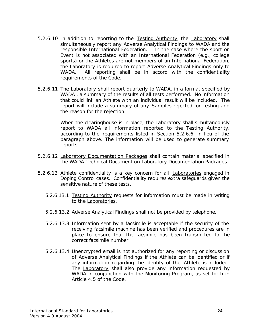- 5.2.6.10 In addition to reporting to the Testing Authority, the Laboratory shall simultaneously report any *Adverse Analytical Findings* to *WADA* and the responsible International Federation. In the case where the sport or *Event* is not associated with an International Federation (e.g., college sports) or the *Athletes* are not members of an International Federation, the Laboratory is required to report *Adverse Analytical Findings* only to *WADA*. All reporting shall be in accord with the confidentiality requirements of the *Code*.
- 5.2.6.11 The Laboratory shall report quarterly to *WADA*, in a format specified by *WADA* , a summary of the results of all tests performed. No information that could link an *Athlete* with an individual result will be included. The report will include a summary of any *Samples* rejected for testing and the reason for the rejection.

When the clearinghouse is in place, the Laboratory shall simultaneously report to *WADA* all information reported to the Testing Authority, according to the requirements listed in Section 5.2.6.6, in lieu of the paragraph above. The information will be used to generate summary reports.

- 5.2.6.12 Laboratory Documentation Packages shall contain material specified in the *WADA* Technical Document on Laboratory Documentation Packages.
- 5.2.6.13 *Athlete* confidentiality is a key concern for all Laboratories engaged in *Doping Control* cases. Confidentiality requires extra safeguards given the sensitive nature of these tests.
	- 5.2.6.13.1 Testing Authority requests for information must be made in writing to the Laboratories.
	- 5.2.6.13.2 *Adverse Analytical Findings* shall not be provided by telephone.
	- 5.2.6.13.3 Information sent by a facsimile is acceptable if the security of the receiving facsimile machine has been verified and procedures are in place to ensure that the facsimile has been transmitted to the correct facsimile number.
	- 5.2.6.13.4 Unencrypted email is not authorized for any reporting or discussion of *Adverse Analytical Findings* if the *Athlete* can be identified or if any information regarding the identity of the *Athlete* is included. The Laboratory shall also provide any information requested by *WADA* in conjunction with the Monitoring Program, as set forth in Article 4.5 of the *Code.*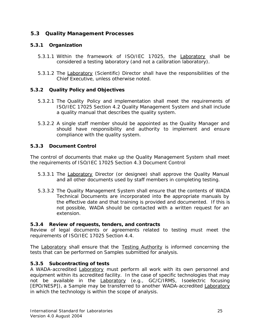# **5.3 Quality Management Processes**

# **5.3.1 Organization**

- 5.3.1.1 Within the framework of ISO/IEC 17025, the Laboratory shall be considered a testing laboratory (and not a calibration laboratory).
- 5.3.1.2 The Laboratory (Scientific) Director shall have the responsibilities of the Chief Executive, unless otherwise noted.

# **5.3.2 Quality Policy and Objectives**

- 5.3.2.1 The Quality Policy and implementation shall meet the requirements of ISO/IEC 17025 Section 4.2 Quality Management System and shall include a quality manual that describes the quality system.
- 5.3.2.2 A single staff member should be appointed as the Quality Manager and should have responsibility and authority to implement and ensure compliance with the quality system.

# **5.3.3 Document Control**

The control of documents that make up the Quality Management System shall meet the requirements of ISO/IEC 17025 Section 4.3 Document Control

- 5.3.3.1 The Laboratory Director (or designee) shall approve the Quality Manual and all other documents used by staff members in completing testing.
- 5.3.3.2 The Quality Management System shall ensure that the contents of *WADA* Technical Documents are incorporated into the appropriate manuals by the effective date and that training is provided and documented. If this is not possible, *WADA* should be contacted with a written request for an extension.

# **5.3.4 Review of requests, tenders, and contracts**

Review of legal documents or agreements related to testing must meet the requirements of ISO/IEC 17025 Section 4.4.

The Laboratory shall ensure that the Testing Authority is informed concerning the tests that can be performed on *Samples* submitted for analysis.

# **5.3.5 Subcontracting of tests**

A *WADA*-accredited Laboratory must perform all work with its own personnel and equipment within its accredited facility. In the case of specific technologies that may not be available in the Laboratory (e.g., GC/C/IRMS, Isoelectric focusing [EPO/NESP]), a *Sample* may be transferred to another *WADA*-accredited Laboratory in which the technology is within the scope of analysis.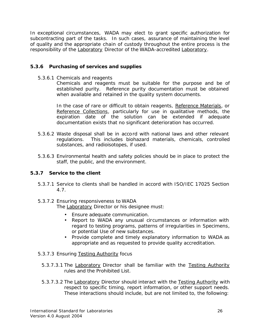In exceptional circumstances, *WADA* may elect to grant specific authorization for subcontracting part of the tasks. In such cases, assurance of maintaining the level of quality and the appropriate chain of custody throughout the entire process is the responsibility of the Laboratory Director of the *WADA*-accredited Laboratory.

# **5.3.6 Purchasing of services and supplies**

5.3.6.1 Chemicals and reagents

Chemicals and reagents must be suitable for the purpose and be of established purity. Reference purity documentation must be obtained when available and retained in the quality system documents.

In the case of rare or difficult to obtain reagents, Reference Materials, or Reference Collections, particularly for use in qualitative methods, the expiration date of the solution can be extended if adequate documentation exists that no significant deterioration has occurred.

- 5.3.6.2 Waste disposal shall be in accord with national laws and other relevant regulations. This includes biohazard materials, chemicals, controlled substances, and radioisotopes, if used.
- 5.3.6.3 Environmental health and safety policies should be in place to protect the staff, the public, and the environment.

# **5.3.7 Service to the client**

- 5.3.7.1 Service to clients shall be handled in accord with ISO/IEC 17025 Section 4.7.
- 5.3.7.2 Ensuring responsiveness to *WADA* The Laboratory Director or his designee must:
	- Ensure adequate communication.
	- Report to *WADA* any unusual circumstances or information with regard to testing programs, patterns of irregularities in *Specimens*, or potential *Use* of new substances.
	- Provide complete and timely explanatory information to *WADA* as appropriate and as requested to provide quality accreditation.
- 5.3.7.3 Ensuring Testing Authority focus
	- 5.3.7.3.1 The Laboratory Director shall be familiar with the Testing Authority rules and the *Prohibited List.*
	- 5.3.7.3.2 The Laboratory Director should interact with the Testing Authority with respect to specific timing, report information, or other support needs. These interactions should include, but are not limited to, the following: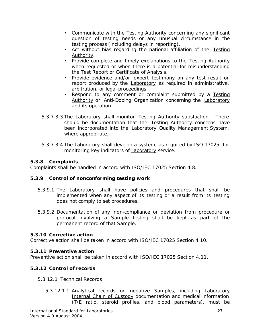- Communicate with the Testing Authority concerning any significant question of testing needs or any unusual circumstance in the testing process (including delays in reporting).
- Act without bias regarding the national affiliation of the Testing Authority.
- Provide complete and timely explanations to the Testing Authority when requested or when there is a potential for misunderstanding the Test Report or Certificate of Analysis.
- Provide evidence and/or expert testimony on any test result or report produced by the Laboratory as required in administrative, arbitration, or legal proceedings.
- Respond to any comment or complaint submitted by a Testing Authority or *Anti-Doping Organization* concerning the Laboratory and its operation.
- 5.3.7.3.3 The Laboratory shall monitor Testing Authority satisfaction. There should be documentation that the Testing Authority concerns have been incorporated into the Laboratory Quality Management System, where appropriate.
- 5.3.7.3.4 The Laboratory shall develop a system, as required by ISO 17025, for monitoring key indicators of Laboratory service.

# **5.3.8 Complaints**

Complaints shall be handled in accord with ISO/IEC 17025 Section 4.8.

# **5.3.9 Control of nonconforming testing work**

- 5.3.9.1 The Laboratory shall have policies and procedures that shall be implemented when any aspect of its testing or a result from its testing does not comply to set procedures.
- 5.3.9.2 Documentation of any non-compliance or deviation from procedure or protocol involving a *Sample* testing shall be kept as part of the permanent record of that *Sample*.

# **5.3.10 Corrective action**

Corrective action shall be taken in accord with ISO/IEC 17025 Section 4.10.

# **5.3.11 Preventive action**

Preventive action shall be taken in accord with ISO/IEC 17025 Section 4.11.

# **5.3.12 Control of records**

- 5.3.12.1 Technical Records
	- 5.3.12.1.1 Analytical records on negative *Samples*, including Laboratory Internal Chain of Custody documentation and medical information (T/E ratio, steroid profiles, and blood parameters), must be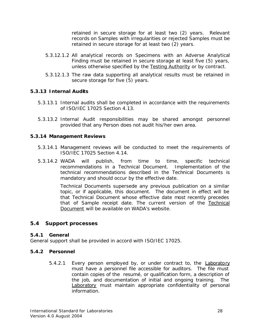retained in secure storage for at least two (2) years. Relevant records on *Samples* with irregularities or rejected *Samples* must be retained in secure storage for at least two (2) years.

- 5.3.12.1.2 All analytical records on *Specimens* with an *Adverse Analytical Finding* must be retained in secure storage at least five (5) years, unless otherwise specified by the Testing Authority or by contract.
- 5.3.12.1.3 The raw data supporting all analytical results must be retained in secure storage for five (5) years.

# **5.3.13 Internal Audits**

- 5.3.13.1 Internal audits shall be completed in accordance with the requirements of ISO/IEC 17025 Section 4.13.
- 5.3.13.2 Internal Audit responsibilities may be shared amongst personnel provided that any *Person* does not audit his/her own area.

#### **5.3.14 Management Reviews**

- 5.3.14.1 Management reviews will be conducted to meet the requirements of ISO/IEC 17025 Section 4.14.
- 5.3.14.2 *WADA* will publish, from time to time, specific technical recommendations in a Technical Document. Implementation of the technical recommendations described in the Technical Documents is mandatory and should occur by the effective date.

Technical Documents supersede any previous publication on a similar topic, or if applicable, this document. The document in effect will be that Technical Document whose effective date most recently precedes that of *Sample* receipt date. The current version of the Technical Document will be available on *WADA*'s website.

# **5.4 Support processes**

#### **5.4.1 General**

General support shall be provided in accord with ISO/IEC 17025.

#### **5.4.2 Personnel**

5.4.2.1 Every person employed by, or under contract to, the Laboratory must have a personnel file accessible for auditors. The file must contain copies of the resumé, or qualification form, a description of the job, and documentation of initial and ongoing training. The Laboratory must maintain appropriate confidentiality of personal information.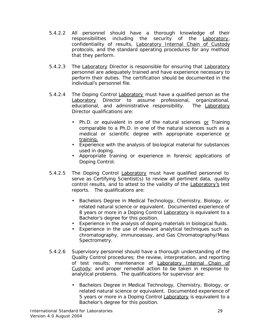- 5.4.2.2 All personnel should have a thorough knowledge of their responsibilities including the security of the Laboratory, confidentiality of results, Laboratory Internal Chain of Custody protocols, and the standard operating procedures for any method that they perform.
- 5.4.2.3 The Laboratory Director is responsible for ensuring that Laboratory personnel are adequately trained and have experience necessary to perform their duties. The certification should be documented in the individual's personnel file.
- 5.4.2.4 The *Doping Control* Laboratory must have a qualified person as the Laboratory Director to assume professional, organizational, educational, and administrative responsibility. The Laboratory Director qualifications are:
	- Ph.D. or equivalent in one of the natural sciences or Training comparable to a Ph.D. in one of the natural sciences such as a medical or scientific degree with appropriate experience or training.
	- Experience with the analysis of biological material for substances used in doping.
	- Appropriate training or experience in forensic applications of *Doping Control*.
- 5.4.2.5 The *Doping Control* Laboratory must have qualified personnel to serve as Certifying Scientist(s) to review all pertinent data, quality control results, and to attest to the validity of the Laboratory's test reports. The qualifications are:
	- Bachelors Degree in Medical Technology, Chemistry, Biology, or related natural science or equivalent. Documented experience of 8 years or more in a *Doping Control* Laboratory is equivalent to a Bachelor's degree for this position.
	- Experience in the analysis of doping materials in biological fluids.
	- Experience in the use of relevant analytical techniques such as chromatography, immunoassay, and Gas Chromatography/Mass Spectrometry.
- 5.4.2.6 Supervisory personnel should have a thorough understanding of the Quality Control procedures; the review, interpretation, and reporting of test results; maintenance of Laboratory Internal Chain of Custody; and proper remedial action to be taken in response to analytical problems. The qualifications for supervisor are:
	- Bachelors Degree in Medical Technology, Chemistry, Biology, or related natural science or equivalent. Documented experience of 5 years or more in a *Doping Control* Laboratory is equivalent to a Bachelor's degree for this position.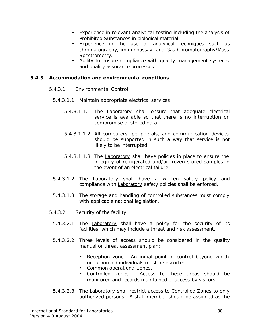- Experience in relevant analytical testing including the analysis of *Prohibited Substances* in biological material.
- Experience in the use of analytical techniques such as chromatography, immunoassay, and Gas Chromatography/Mass Spectrometry.
- Ability to ensure compliance with quality management systems and quality assurance processes.

#### **5.4.3 Accommodation and environmental conditions**

- 5.4.3.1 Environmental Control
	- 5.4.3.1.1 Maintain appropriate electrical services
		- 5.4.3.1.1.1 The Laboratory shall ensure that adequate electrical service is available so that there is no interruption or compromise of stored data.
		- 5.4.3.1.1.2 All computers, peripherals, and communication devices should be supported in such a way that service is not likely to be interrupted.
		- 5.4.3.1.1.3 The Laboratory shall have policies in place to ensure the integrity of refrigerated and/or frozen stored samples in the event of an electrical failure.
	- 5.4.3.1.2 The Laboratory shall have a written safety policy and compliance with Laboratory safety policies shall be enforced.
	- 5.4.3.1.3 The storage and handling of controlled substances must comply with applicable national legislation.
- 5.4.3.2 Security of the facility
	- 5.4.3.2.1 The Laboratory shall have a policy for the security of its facilities, which may include a threat and risk assessment.
	- 5.4.3.2.2 Three levels of access should be considered in the quality manual or threat assessment plan:
		- Reception zone. An initial point of control beyond which unauthorized individuals must be escorted.
		- Common operational zones.
		- Controlled zones. Access to these areas should be monitored and records maintained of access by visitors.
	- 5.4.3.2.3 The Laboratory shall restrict access to Controlled Zones to only authorized persons. A staff member should be assigned as the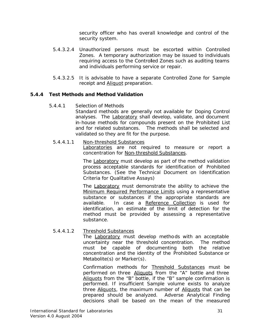security officer who has overall knowledge and control of the security system.

- 5.4.3.2.4 Unauthorized persons must be escorted within Controlled Zones. A temporary authorization may be issued to individuals requiring access to the Controlled Zones such as auditing teams and individuals performing service or repair.
- 5.4.3.2.5 It is advisable to have a separate Controlled Zone for *Sample* receipt and Aliquot preparation.

# **5.4.4 Test Methods and Method Validation**

5.4.4.1 Selection of Methods

Standard methods are generally not available for *Doping Control* analyses. The Laboratory shall develop, validate, and document in-house methods for compounds present on the *Prohibited List* and for related substances. The methods shall be selected and validated so they are fit for the purpose.

#### 5.4.4.1.1 Non-threshold Substances

Laboratories are not required to measure or report a concentration for Non-threshold Substances.

The Laboratory must develop as part of the method validation process acceptable standards for identification of *Prohibited Substances*. (See the Technical Document on Identification Criteria for Qualitative Assays)

The Laboratory must demonstrate the ability to achieve the Minimum Required Performance Limits using a representative substance or substances if the appropriate standards are available. In case a Reference Collection is used for identification, an estimate of the limit of detection for the method must be provided by assessing a representative substance.

# 5.4.4.1.2 Threshold Substances

The Laboratory must develop methods with an acceptable uncertainty near the threshold concentration. The method must be capable of documenting both the relative concentration and the identity of the *Prohibited Substance* or *Metabolite(s)* or *Marker(s)*.

Confirmation methods for Threshold Substances must be performed on three Aliquots from the "A" bottle and three Aliquots from the "B" bottle, if the "B" sample confirmation is performed. If insufficient Sample volume exists to analyze three Aliquots, the maximum number of Aliquots that can be prepared should be analyzed. *Adverse Analytical Finding* decisions shall be based on the mean of the measured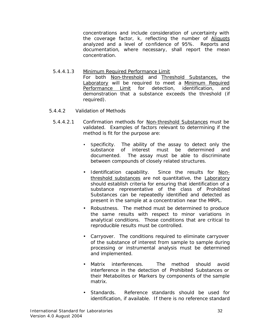concentrations and include consideration of uncertainty with the coverage factor, k, reflecting the number of Aliquots analyzed and a level of confidence of 95%. Reports and documentation, where necessary, shall report the mean concentration.

- 5.4.4.1.3 Minimum Required Performance Limit For both Non-threshold and Threshold Substances, the Laboratory will be required to meet a Minimum Required Performance Limit for detection, identification, and demonstration that a substance exceeds the threshold (if required).
- 5.4.4.2 Validation of Methods
	- 5.4.4.2.1 Confirmation methods for Non-threshold Substance*s* must be validated. Examples of factors relevant to determining if the method is fit for the purpose are:
		- Specificity. The ability of the assay to detect only the substance of interest must be determined and documented. The assay must be able to discriminate between compounds of closely related structures.
		- Identification capability. Since the results for Nonthreshold substances are not quantitative, the Laboratory should establish criteria for ensuring that identification of a substance representative of the class of *Prohibited Substance*s can be repeatedly identified and detected as present in the sample at a concentration near the MRPL.
		- Robustness. The method must be determined to produce the same results with respect to minor variations in analytical conditions. Those conditions that are critical to reproducible results must be controlled.
		- Carryover. The conditions required to eliminate carryover of the substance of interest from sample to sample during processing or instrumental analysis must be determined and implemented.
		- Matrix interferences. The method should avoid interference in the detection of *Prohibited Substance*s or their *Metabolites* or *Markers* by components of the sample matrix.
		- Standards. Reference standards should be used for identification, if available. If there is no reference standard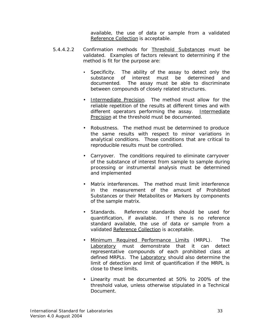available, the use of data or sample from a validated Reference Collection is acceptable.

- 5.4.4.2.2 Confirmation methods for Threshold Substances must be validated. Examples of factors relevant to determining if the method is fit for the purpose are:
	- Specificity. The ability of the assay to detect only the substance of interest must be determined and documented. The assay must be able to discriminate between compounds of closely related structures.
	- Intermediate Precision. The method must allow for the reliable repetition of the results at different times and with different operators performing the assay. Intermediate Precision at the threshold must be documented.
	- Robustness. The method must be determined to produce the same results with respect to minor variations in analytical conditions. Those conditions that are critical to reproducible results must be controlled.
	- Carryover. The conditions required to eliminate carryover of the substance of interest from sample to sample during processing or instrumental analysis must be determined and implemented
	- Matrix interferences. The method must limit interference in the measurement of the amount of *Prohibited Substance*s or their *Metabolites* or *Markers* by components of the sample matrix.
	- Standards. Reference standards should be used for quantification, if available. If there is no reference standard available, the use of data or sample from a validated Reference Collection is acceptable.
	- Minimum Required Performance Limits (*MRPL*). The Laboratory must demonstrate that it can detect representative compounds of each prohibited class at defined MRPLs. The Laboratory should also determine the limit of detection and limit of quantification if the MRPL is close to these limits.
	- Linearity must be documented at 50% to 200% of the threshold value, unless otherwise stipulated in a Technical Document.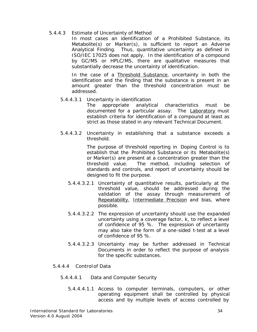#### 5.4.4.3 Estimate of Uncertainty of Method

In most cases an identification of a *Prohibited Substance*, its *Metabolite(s)* or *Marker(s),* is sufficient to report an *Adverse Analytical Finding*. Thus, quantitative uncertainty as defined in ISO/IEC 17025 does not apply. In the identification of a compound by GC/MS or HPLC/MS, there are qualitative measures that substantially decrease the uncertainty of identification.

In the case of a Threshold Substance*,* uncertainty in both the identification and the finding that the substance is present in an amount greater than the threshold concentration must be addressed.

5.4.4.3.1 Uncertainty in identification

The appropriate analytical characteristics must be documented for a particular assay. The Laboratory must establish criteria for identification of a compound at least as strict as those stated in any relevant Technical Document.

5.4.4.3.2 Uncertainty in establishing that a substance exceeds a threshold.

> The purpose of threshold reporting in *Doping Control* is to establish that the *Prohibited Substance* or its *Metabolite*(s) or *Marker*(s) are present at a concentration greater than the threshold value. The method, including selection of standards and controls, and report of uncertainty should be designed to fit the purpose.

- 5.4.4.3.2.1 Uncertainty of quantitative results, particularly at the threshold value, should be addressed during the validation of the assay through measurement of Repeatability, Intermediate Precision and bias, where possible.
- 5.4.4.3.2.2 The expression of uncertainty should use the expanded uncertainty using a coverage factor, k, to reflect a level of confidence of 95 %. The expression of uncertainty may also take the form of a one-sided t-test at a level of confidence of 95 %.
- 5.4.4.3.2.3 Uncertainty may be further addressed in Technical Documents in order to reflect the purpose of analysis for the specific substances.
- 5.4.4.4 Controlof Data
	- 5.4.4.4.1 Data and Computer Security
		- 5.4.4.4.1.1 Access to computer terminals, computers, or other operating equipment shall be controlled by physical access and by multiple levels of access controlled by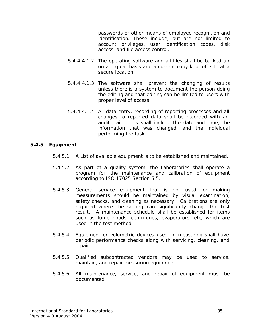passwords or other means of employee recognition and identification. These include, but are not limited to account privileges, user identification codes, disk access, and file access control.

- 5.4.4.4.1.2 The operating software and all files shall be backed up on a regular basis and a current copy kept off site at a secure location.
- 5.4.4.4.1.3 The software shall prevent the changing of results unless there is a system to document the person doing the editing and that editing can be limited to users with proper level of access.
- 5.4.4.4.1.4 All data entry, recording of reporting processes and all changes to reported data shall be recorded with an audit trail. This shall include the date and time, the information that was changed, and the individual performing the task.

#### **5.4.5 Equipment**

- 5.4.5.1 A List of available equipment is to be established and maintained.
- 5.4.5.2 As part of a quality system, the **Laboratories** shall operate a program for the maintenance and calibration of equipment according to ISO 17025 Section 5.5.
- 5.4.5.3 General service equipment that is not used for making measurements should be maintained by visual examination, safety checks, and cleaning as necessary. Calibrations are only required where the setting can significantly change the test result. A maintenance schedule shall be established for items such as fume hoods, centrifuges, evaporators, etc, which are used in the test method.
- 5.4.5.4 Equipment or volumetric devices used in measuring shall have periodic performance checks along with servicing, cleaning, and repair.
- 5.4.5.5 Qualified subcontracted vendors may be used to service, maintain, and repair measuring equipment.
- 5.4.5.6 All maintenance, service, and repair of equipment must be documented.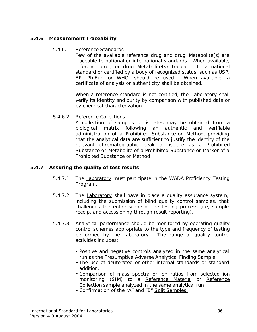# **5.4.6 Measurement Traceability**

#### 5.4.6.1 Reference Standards

Few of the available reference drug and drug *Metabolite*(s) are traceable to national or international standards. When available, reference drug or drug *Metabolite*(s) traceable to a national standard or certified by a body of recognized status, such as USP, BP, Ph.Eur. or WHO, should be used. When available, a certificate of analysis or authenticity shall be obtained.

When a reference standard is not certified, the **Laboratory** shall verify its identity and purity by comparison with published data or by chemical characterization.

# 5.4.6.2 Reference Collections

A collection of samples or isolates may be obtained from a biological matrix following an authentic and verifiable administration of a *Prohibited Substance* or *Method*, providing that the analytical data are sufficient to justify the identity of the relevant chromatographic peak or isolate as a *Prohibited Substance* or *Metabolite* of a *Prohibited Substance* or *Marker* of a *Prohibited Substance* or Method

# **5.4.7 Assuring the quality of test results**

- 5.4.7.1 The Laboratory must participate in the *WADA* Proficiency Testing Program.
- 5.4.7.2 The Laboratory shall have in place a quality assurance system, including the submission of blind quality control samples, that challenges the entire scope of the testing process (i.e, sample receipt and accessioning through result reporting).
- 5.4.7.3 Analytical performance should be monitored by operating quality control schemes appropriate to the type and frequency of testing performed by the **Laboratory**. The range of quality control activities includes:
	- Positive and negative controls analyzed in the same analytical run as the Presumptive *Adverse Analytical Finding Sample*.
	- The use of deuterated or other internal standards or standard addition.
	- Comparison of mass spectra or ion ratios from selected ion monitoring (SIM) to a Reference Material or Reference Collection sample analyzed in the same analytical run
	- Confirmation of the "A" and "B" Split Samples.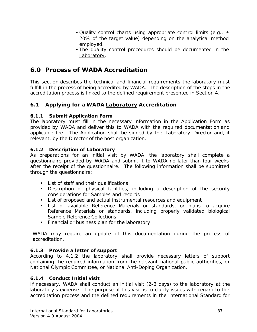- Quality control charts using appropriate control limits (e.g.,  $\pm$ 20% of the target value) depending on the analytical method employed.
- The quality control procedures should be documented in the Laboratory.

# **6.0 Process of** *WADA* **Accreditation**

This section describes the technical and financial requirements the laboratory must fulfill in the process of being accredited by *WADA*. The description of the steps in the accreditation process is linked to the defined requirement presented in Section 4.

# **6.1 Applying for a** *WADA* **Laboratory Accreditation**

# **6.1.1 Submit Application Form**

The laboratory must fill in the necessary information in the Application Form as provided by *WADA* and deliver this to *WADA* with the required documentation and applicable fee. The Application shall be signed by the Laboratory Director and, if relevant, by the Director of the host organization.

# **6.1.2 Description of Laboratory**

As preparations for an initial visit by *WADA*, the laboratory shall complete a questionnaire provided by *WADA* and submit it to *WADA* no later than four weeks after the receipt of the questionnaire. The following information shall be submitted through the questionnaire:

- List of staff and their qualifications
- Description of physical facilities, including a description of the security considerations for *Samples* and records
- List of proposed and actual instrumental resources and equipment
- List of available Reference Materials or standards, or plans to acquire Reference Materials or standards, including properly validated biological *Sample* Reference Collections
- Financial or business plan for the laboratory

*WADA* may require an update of this documentation during the process of accreditation.

# **6.1.3 Provide a letter of support**

According to 4.1.2 the laboratory shall provide necessary letters of support containing the required information from the relevant national public authorities, or *National Olympic Committee*, or *National Anti-Doping Organization.*

# **6.1.4 Conduct Initial visit**

If necessary, *WADA* shall conduct an initial visit (2-3 days) to the laboratory at the laboratory's expense. The purpose of this visit is to clarify issues with regard to the accreditation process and the defined requirements in *the International Standard* for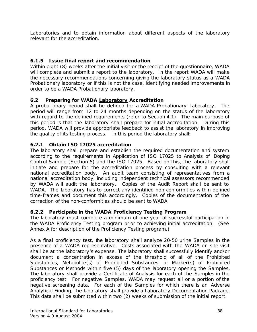Laboratories and to obtain information about different aspects of the laboratory relevant for the accreditation.

# **6.1.5 Issue final report and recommendation**

Within eight (8) weeks after the initial visit or the receipt of the questionnaire, *WADA* will complete and submit a report to the laboratory. In the report *WADA* will make the necessary recommendations concerning giving the laboratory status as a *WADA* Probationary laboratory or if this is not the case, identifying needed improvements in order to be a *WADA* Probationary laboratory.

# **6.2 Preparing for** *WADA* **Laboratory Accreditation**

A probationary period shall be defined for a *WADA* Probationary Laboratory. The period will range from 12 to 24 months depending on the status of the laboratory with regard to the defined requirements (refer to Section 4.1). The main purpose of this period is that the laboratory shall prepare for nitial accreditation. During this period, *WADA* will provide appropriate feedback to assist the laboratory in improving the quality of its testing process. In this period the laboratory shall:

# **6.2.1 Obtain ISO 17025 accreditation**

The laboratory shall prepare and establish the required documentation and system according to the requirements in Application of ISO 17025 to Analysis of *Doping Control Sample* (Section 5) and the ISO 17025. Based on this, the laboratory shall initiate and prepare for the accreditation process by consulting with a relevant national accreditation body. An audit team consisting of representatives from a national accreditation body, including independent technical assessors recommended by *WADA* will audit the laboratory. Copies of the Audit Report shall be sent to *WADA*. The laboratory has to correct any identified non-conformities within defined time-frames and document this accordingly. Copies of the documentation of the correction of the non-conformities should be sent to *WADA*.

# **6.2.2 Participate in the** *WADA* **Proficiency Testing Program**

The laboratory must complete a minimum of one year of successful participation in the *WADA* Proficiency Testing program prior to achieving initial accreditation. (See Annex A for description of the Proficiency Testing program.)

As a final proficiency test, the laboratory shall analyze 20-50 urine *Samples* in the presence of a *WADA* representative. Costs associated with the *WADA* on-site visit shall be at the laboratory's expense. The laboratory shall successfully identify and/or document a concentration in excess of the threshold of all of *the Prohibited Substances*, *Metabolite*(s) of *Prohibited Substances*, or *Marker*(s) of *Prohibited Substances* or Methods within five (5) days of the laboratory opening the *Samples*. The laboratory shall provide a Certificate of Analysis for each of the *Samples* in the proficiency test. For negative *Samples*, *WADA* may request all or a portion of the negative screening data. For each of the *Samples* for which there is an *Adverse Analytical Finding*, the laboratory shall provide a Laboratory Documentation Package. This data shall be submitted within two (2) weeks of submission of the initial report.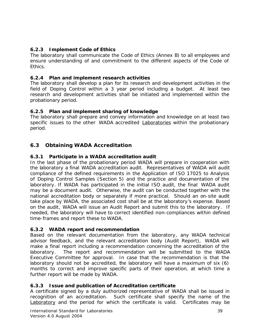# **6.2.3 Implement Code of Ethics**

The laboratory shall communicate the Code of Ethics (Annex B) to all employees and ensure understanding of and commitment to the different aspects of the Code of Ethics.

# **6.2.4 Plan and implement research activities**

The laboratory shall develop a plan for its research and development activities in the field of *Doping Control* within a 3 year period including a budget. At least two research and development activities shall be initiated and implemented within the probationary period.

# **6.2.5 Plan and implement sharing of knowledge**

The laboratory shall prepare and convey information and knowledge on at least two specific issues to the other *WADA* accredited Laboratories within the probationary period.

# **6.3 Obtaining** *WADA* **Accreditation**

# **6.3.1 Participate in a** *WADA* **accreditation audit**

In the last phase of the probationary period *WADA* will prepare in cooperation with the laboratory a final *WADA* accreditation audit. Representatives of *WADA* will audit compliance of the defined requirements in the Application of ISO 17025 to Analysis of *Doping Control Samples* (Section 5) and the practice and documentation of the laboratory. If *WADA* has participated in the initial ISO audit, the final *WADA* audit may be a document audit. Otherwise, the audit can be conducted together with the national accreditation body or separately if more practical. Should an on-site audit take place by *WADA*, the associated cost shall be at the laboratory's expense. Based on the audit, *WADA* will issue an Audit Report and submit this to the laboratory. If needed, the laboratory will have to correct identified non-compliances within defined time-frames and report these to *WADA*.

# **6.3.2** *WADA* **report and recommendation**

Based on the relevant documentation from the laboratory, any *WADA* technical advisor feedback, and the relevant accreditation body (Audit Report), *WADA* will make a final report including a recommendation concerning the accreditation of the laboratory. The report and recommendation will be submitted to the *WADA* Executive Committee for approval. In case that the recommendation is that the laboratory should not be accredited, the laboratory will have a maximum of six (6) months to correct and improve specific parts of their operation, at which time a further report will be made by *WADA*.

# **6.3.3 Issue and publication of Accreditation certificate**

A certificate signed by a duly authorized representative of *WADA* shall be issued in recognition of an accreditation. Such certificate shall specify the name of the Laboratory and the period for which the certificate is valid. Certificates may be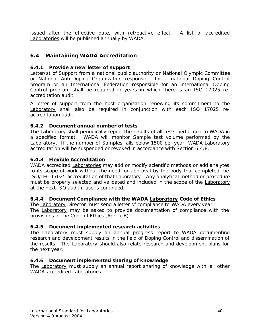issued after the effective date, with retroactive effect. A list of accredited Laboratories will be published annually by *WADA*.

# **6.4 Maintaining** *WADA* **Accreditation**

# **6.4.1 Provide a new letter of support**

Letter(s) of Support from a national public authority or *National Olympic Committee or National Anti-Doping Organizatio*n responsible for a national *Doping Control* program or an International Federation responsible for an international *Doping Control* program shall be required in years in which there is an ISO 17025 reaccreditation audit.

A letter of support from the host organization renewing its commitment to the Laboratory shall also be required in conjunction with each ISO 17025 reaccreditation audit.

# **6.4.2 Document annual number of tests**

The Laboratory shall periodically report the results of all tests performed to *WADA* in a specified format. *WADA* will monitor *Sample* test volume performed by the Laboratory. If the number of *Samples* falls below 1500 per year, *WADA* Laboratory accreditation will be suspended or revoked in accordance with Section 6.4.8.

# **6.4.3 Flexible Accreditation**

*WADA* accredited Laboratories may add or modify scientific methods or add analytes to its scope of work without the need for approval by the body that completed the ISO/IEC 17025 accreditation of that Laboratory. Any analytical method or procedure must be properly selected and validated and included in the scope of the Laboratory at the next ISO audit if use is continued.

# **6.4.4 Document Compliance with the** *WADA* **Laboratory Code of Ethics**

The Laboratory Director must send a letter of compliance to *WADA* every year. The Laboratory may be asked to provide documentation of compliance with the provisions of the Code of Ethics (Annex B).

# **6.4.5 Document implemented research activities**

The Laboratory must supply an annual progress report to *WADA* documenting research and development results in the field of *Doping Control* and dissemination of the results. The Laboratory should also relate research and development plans for the next year.

# **6.4.6 Document implemented sharing of knowledge**

The Laboratory must supply an annual report sharing of knowledge with all other *WADA*-accredited Laboratories.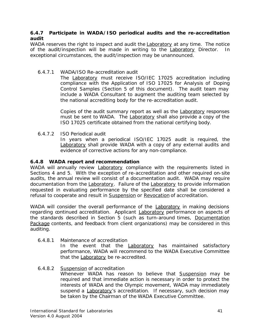# **6.4.7 Participate in** *WADA***/ISO periodical audits and the re-accreditation audit**

*WADA* reserves the right to inspect and audit the **Laboratory** at any time. The notice of the audit/inspection will be made in writing to the **Laboratory** Director. In exceptional circumstances, the audit/inspection may be unannounced.

# 6.4.7.1 *WADA*/ISO Re-accreditation audit

The Laboratory must receive ISO/IEC 17025 accreditation including compliance with the Application of ISO 17025 for Analysis of *Doping Control Samples* (Section 5 of this document). The audit team may include a *WADA* Consultant to augment the auditing team selected by the national accrediting body for the re-accreditation audit.

Copies of the audit summary report as well as the Laboratory responses must be sent to *WADA*. The Laboratory shall also provide a copy of the ISO 17025 certificate obtained from the national certifying body.

6.4.7.2 ISO Periodical audit

In years when a periodical ISO/IEC 17025 audit is required, the Laboratory shall provide *WADA* with a copy of any external audits and evidence of corrective actions for any non-compliance.

# **6.4.8** *WADA* **report and recommendation**

*WADA* will annually review **Laboratory** compliance with the requirements listed in Sections 4 and 5. With the exception of re-accreditation and other required on-site audits, the annual review will consist of a documentation audit. *WADA* may require documentation from the Laboratory. Failure of the Laboratory to provide information requested in evaluating performance by the specified date shall be considered a refusal to cooperate and result in Suspension or Revocation of accreditation.

*WADA* will consider the overall performance of the Laboratory in making decisions regarding continued accreditation. Applicant Laboratory performance on aspects of the standards described in Section 5 (such as turn-around times, Documentation Package contents, and feedback from client organizations) may be considered in this auditing.

# 6.4.8.1 Maintenance of accreditation

In the event that the Laboratory has maintained satisfactory performance, *WADA* will recommend to the *WADA* Executive Committee that the Laboratory be re-accredited.

# 6.4.8.2 Suspension of accreditation

Whenever *WADA* has reason to believe that Suspension may be required and that immediate action is necessary in order to protect the interests of *WADA* and the Olympic movement, *WADA* may immediately suspend a Laboratory*'s* accreditation. If necessary, such decision may be taken by the Chairman of the *WADA* Executive Committee.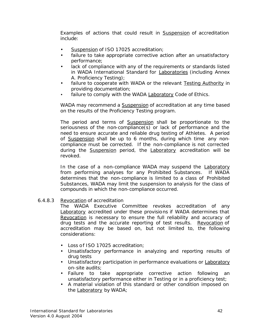Examples of actions that could result in Suspension of accreditation include:

- Suspension of ISO 17025 accreditation;
- failure to take appropriate corrective action after an unsatisfactory performance;
- lack of compliance with any of the requirements or standards listed in *WADA International Standard* for Laboratories (including Annex A. Proficiency Testing);
- failure to cooperate with *WADA* or the relevant Testing Authority in providing documentation;
- failure to comply with the *WADA* Laboratory Code of Ethics.

*WADA* may recommend a Suspension of accreditation at any time based on the results of the Proficiency Testing program.

The period and terms of **Suspension** shall be proportionate to the seriousness of the non-compliance(s) or lack of performance and the need to ensure accurate and reliable drug testing of *Athletes*. A period of Suspension shall be up to 6 months, during which time any noncompliance must be corrected. If the non-compliance is not corrected during the Suspension period, the Laboratory accreditation will be revoked.

In the case of a non-compliance *WADA* may suspend the Laboratory from performing analyses for any *Prohibited Substances*. If *WADA* determines that the non-compliance is limited to a class of *Prohibited Substances*, *WADA* may limit the suspension to analysis for the class of compounds in which the non-compliance occurred.

# 6.4.8.3 Revocation of accreditation

The *WADA* Executive Committee revokes accreditation of any Laboratory accredited under these provisions if *WADA* determines that Revocation is necessary to ensure the full reliability and accuracy of drug tests and the accurate reporting of test results. Revocation of accreditation may be based on, but not limited to, the following considerations:

- Loss of ISO 17025 accreditation;
- Unsatisfactory performance in analyzing and reporting results of drug tests
- Unsatisfactory participation in performance evaluations or Laboratory on-site audits;
- Failure to take appropriate corrective action following an unsatisfactory performance either in *Testing* or in a proficiency test;
- A material violation of this standard or other condition imposed on the Laboratory by *WADA*;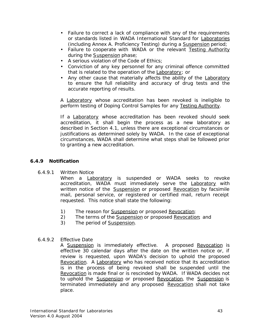- Failure to correct a lack of compliance with any of the requirements or standards listed in *WADA International Standard* for Laboratories (including Annex A. Proficiency Testing) during a Suspension period;
- Failure to cooperate with *WADA* or the relevant Testing Authority during the Suspension phase;
- A serious violation of the Code of Ethics;
- Conviction of any key personnel for any criminal offence committed that is related to the operation of the Laboratory; or
- Any other cause that materially affects the ability of the Laboratory to ensure the full reliability and accuracy of drug tests and the accurate reporting of results.

A Laboratory whose accreditation has been revoked is ineligible to perform testing *of Doping Control Samples* for any Testing Authority.

If a Laboratory whose accreditation has been revoked should seek accreditation, it shall begin the process as a new laboratory as described in Section 4.1, unless there are exceptional circumstances or justifications as determined solely by *WADA*. In the case of exceptional circumstances, *WADA* shall determine what steps shall be followed prior to granting a new accreditation.

# **6.4.9 Notification**

6.4.9.1 Written Notice

When a Laboratory is suspended or *WADA* seeks to revoke accreditation, *WADA* must immediately serve the Laboratory with written notice of the Suspension or proposed Revocation by facsimile mail, personal service, or registered or certified mail, return receipt requested. This notice shall state the following:

- 1) The reason for Suspension or proposed Revocation;
- 2) The terms of the Suspension or proposed Revocation; and
- 3) The period of Suspension.

# 6.4.9.2 Effective Date

A Suspension is immediately effective. A proposed Revocation is effective 30 calendar days after the date on the written notice or, if review is requested, upon *WADA*'s decision to uphold the proposed Revocation. A Laboratory who has received notice that its accreditation is in the process of being revoked shall be suspended until the Revocation is made final or is rescinded by *WADA*. If *WADA* decides not to uphold the Suspension or proposed Revocation, the Suspension is terminated immediately and any proposed Revocation shall not take place.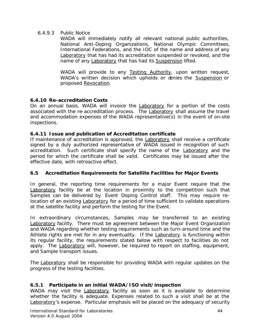# 6.4.9.3 Public Notice

*WADA* will immediately notify all relevant national public authorities, *National Anti-Doping Organizations*, *National Olympic Committees*, International Federations, and the IOC of the name and address of any Laboratory that has had its accreditation suspended or revoked, and the name of any Laboratory that has had its Suspension lifted.

*WADA* will provide to any Testing Authority, upon written request, WADA's written decision which upholds or denies the **Suspension** or proposed Revocation.

# **6.4.10 Re-accreditation Costs**

On an annual basis, *WADA* will invoice the Laboratory for a portion of the costs associated with the re-accreditation process. The Laboratory shall assume the travel and accommodation expenses of the *WADA* representative(s) in the event of on-site inspections.

# **6.4.11 Issue and publication of Accreditation certificate**

If maintenance of accreditation is approved, the Laboratory shall receive a certificate signed by a duly authorized representative of *WADA* issued in recognition of such accreditation. Such certificate shall specify the name of the Laboratory and the period for which the certificate shall be valid. Certificates may be issued after the effective date, with retroactive effect.

# **6.5 Accreditation Requirements for Satellite Facilities for Major** *Events*

In general, the reporting time requirements for a major *Event* require that the Laboratory facility be at the location in proximity to the competition such that *Samples* can be delivered by *Event Doping Control* staff. This may require relocation of an existing Laboratory for a period of time sufficient to validate operations at the satellite facility and perform the testing for the *Event*.

In extraordinary circumstances, *Samples* may be transferred to an existing Laboratory facility. There must be agreement between the *Major Event Organization* and *WADA* regarding whether testing requirements such as turn-around time and the *Athlete* rights are met for in any eventuality. If the Laboratory is functioning within its regular facility, the requirements stated below with respect to facilities do not apply. The Laboratory will, however, be required to report on staffing, equipment, and *Sample* transport issues.

The Laboratory shall be responsible for providing *WADA* with regular updates on the progress of the testing facilities.

# **6.5.1 Participate in an initial** *WADA***/ISO visit/inspection**

*WADA* may visit the Laboratory facility as soon as it is available to determine whether the facility is adequate. Expenses related to such a visit shall be at the Laboratory's expense. Particular emphasis will be placed on the adequacy of security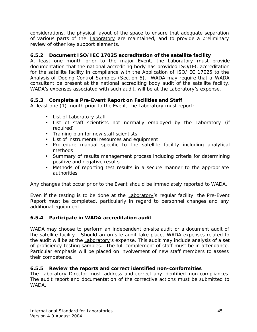considerations, the physical layout of the space to ensure that adequate separation of various parts of the Laboratory are maintained, and to provide a preliminary review of other key support elements.

# **6.5.2 Document ISO/IEC 17025 accreditation of the satellite facility**

At least one month prior to the major *Event*, the Laboratory must provide documentation that the national accrediting body has provided ISO/IEC accreditation for the satellite facility in compliance with the Application of ISO/IEC 17025 to the Analysis of *Doping Control Samples* (Section 5). *WADA* may require that a *WADA* consultant be present at the national accrediting body audit of the satellite facility. WADA's expenses associated with such audit, will be at the **Laboratory's expense**.

# **6.5.3 Complete a Pre-***Event* **Report on Facilities and Staff**

At least one (1) month prior to the *Event*, the Laboratory must report:

- List of Laboratory staff
- List of staff scientists not normally employed by the Laboratory (if required)
- Training plan for new staff scientists
- List of instrumental resources and equipment
- Procedure manual specific to the satellite facility including analytical methods
- Summary of results management process including criteria for determining positive and negative results
- Methods of reporting test results in a secure manner to the appropriate authorities

Any changes that occur prior to the *Event* should be immediately reported to *WADA*.

Even if the testing is to be done at the Laboratory*'s* regular facility, the Pre-*Event* Report must be completed, particularly in regard to personnel changes and any additional equipment.

# **6.5.4 Participate in** *WADA* **accreditation audit**

*WADA* may choose to perform an independent on-site audit or a document audit of the satellite facility. Should an on-site audit take place, *WADA* expenses related to the audit will be at the Laboratory's expense. This audit may include analysis of a set of proficiency testing samples. The full complement of staff must be in attendance. Particular emphasis will be placed on involvement of new staff members to assess their competence.

# **6.5.5 Review the reports and correct identified non-conformities**

The Laboratory Director must address and correct any identified non-compliances. The audit report and documentation of the corrective actions must be submitted to *WADA*.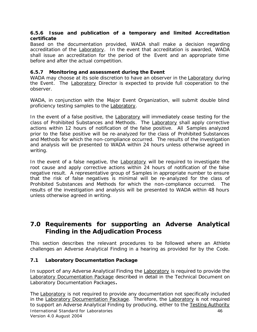#### **6.5.6 Issue and publication of a temporary and limited Accreditation certificate**

Based on the documentation provided, *WADA* shall make a decision regarding accreditation of the Laboratory. In the event that accreditation is awarded, *WADA* shall issue an accreditation for the period of the *Event* and an appropriate time before and after the actual competition.

# **6.5.7 Monitoring and assessment during the** *Event*

*WADA* may choose at its sole discretion to have an observer in the Laboratory during the *Event*. The Laboratory Director is expected to provide full cooperation to the observer.

*WADA*, in conjunction with the *Major Event Organization*, will submit double blind proficiency testing samples to the Laboratory.

In the event of a false positive, the **Laboratory** will immediately cease testing for the class of *Prohibited Substances and Methods*. The Laboratory shall apply corrective actions within 12 hours of notification of the false positive. All *Samples* analyzed prior to the false positive will be re-analyzed for the class of *Prohibited Substances and Methods* for which the non-compliance occurred. The results of the investigation and analysis will be presented to *WADA* within 24 hours unless otherwise agreed in writing.

In the event of a false negative, the **Laboratory** will be required to investigate the root cause and apply corrective actions within 24 hours of notification of the false negative result. A representative group of *Samples* in appropriate number to ensure that the risk of false negatives is minimal will be re-analyzed for the class of *Prohibited Substances and Methods* for which the non-compliance occurred. The results of the investigation and analysis will be presented to *WADA* within 48 hours unless otherwise agreed in writing.

# **7.0 Requirements for supporting an** *Adverse Analytical Finding* **in the Adjudication Process**

This section describes the relevant procedures to be followed where an *Athlete* challenges an *Adverse Analytical Finding* in a hearing as provided for by the *Code.* 

# **7.1 Laboratory Documentation Package**

In support of any *Adverse Analytical Finding* the Laboratory is required to provide the Laboratory Documentation Package described in detail in the Technical Document on Laboratory Documentation Packages**.** 

International Standard for Laboratories 46 Version 4.0 August 2004 The Laboratory is not required to provide any documentation not specifically included in the Laboratory Documentation Package*.* Therefore, the Laboratory is not required to support an *Adverse Analytical Finding* by producing, either to the Testing Authority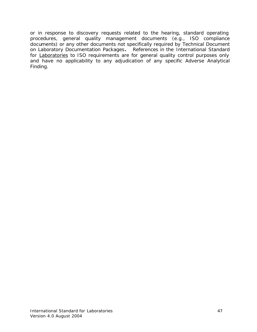or in response to discovery requests related to the hearing, standard operating procedures, general quality management documents (e.g., ISO compliance documents) or any other documents not specifically required by Technical Document on Laboratory Documentation Packages**.** References in the *International Standard* for **Laboratories** to ISO requirements are for general quality control purposes only and have no applicability to any adjudication of any specific *Adverse Analytical Finding.*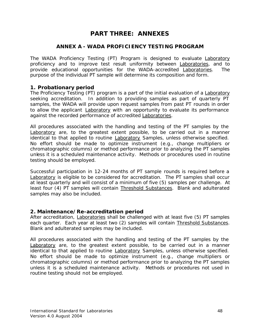# **PART THREE: ANNEXES**

# **ANNEX A -** *WADA* **PROFICIENCY TESTING PROGRAM**

The *WADA* Proficiency Testing (PT) Program is designed to evaluate Laboratory proficiency and to improve test result uniformity between **Laboratories**, and to provide educational opportunities for the *WADA*-accredited Laboratories. The purpose of the individual PT sample will determine its composition and form.

# **1. Probationary period**

The Proficiency Testing (PT) program is a part of the initial evaluation of a Laboratory seeking accreditation. In addition to providing samples as part of quarterly PT samples, the *WADA* will provide upon request samples from past PT rounds in order to allow the applicant Laboratory with an opportunity to evaluate its performance against the recorded performance of accredited Laboratories.

All procedures associated with the handling and testing of the PT samples by the Laboratory are, to the greatest extent possible, to be carried out in a manner identical to that applied to routine Laboratory *Samples*, unless otherwise specified. No effort should be made to optimize instrument (e.g., change multipliers or chromatographic columns) or method performance prior to analyzing the PT samples unless it is a scheduled maintenance activity. Methods or procedures used in routine testing should be employed.

Successful participation in 12-24 months of PT sample rounds is required before a Laboratory is eligible to be considered for accreditation. The PT samples shall occur at least quarterly and will consist of a minimum of five (5) samples per challenge. At least four (4) PT samples will contain Threshold Substances. Blank and adulterated samples may also be included.

#### **2. Maintenance/Re-accreditation period**

After accreditation, Laboratories shall be challenged with at least five (5) PT samples each quarter. Each year at least two (2) samples will contain Threshold Substances. Blank and adulterated samples may be included.

All procedures associated with the handling and testing of the PT samples by the Laboratory are, to the greatest extent possible, to be carried out in a manner identical to that applied to routine Laboratory *Samples*, unless otherwise specified. No effort should be made to optimize instrument (e.g., change multipliers or chromatographic columns) or method performance prior to analyzing the PT samples unless it is a scheduled maintenance activity. Methods or procedures not used in routine testing should not be employed.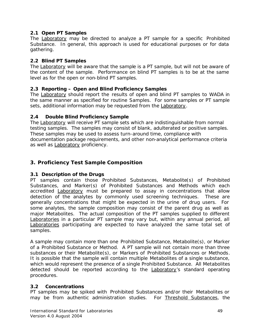# **2.1 Open PT Samples**

The Laboratory may be directed to analyze a PT sample for a specific *Prohibited Substance*. In general, this approach is used for educational purposes or for data gathering.

# **2.2 Blind PT Samples**

The Laboratory will be aware that the sample is a PT sample, but will not be aware of the content of the sample. Performance on blind PT samples is to be at the same level as for the open or non-blind PT samples.

# **2.3 Reporting – Open and Blind Proficiency Samples**

The Laboratory should report the results of open and blind PT samples to *WADA* in the same manner as specified for routine *Samples*. For some samples or PT sample sets, additional information may be requested from the Laboratory.

# **2.4 Double Blind Proficiency Sample**

The Laboratory will receive PT sample sets which are indistinguishable from normal testing samples. The samples may consist of blank, adulterated or positive samples. These samples may be used to assess turn-around time, compliance with documentation package requirements, and other non-analytical performance criteria as well as **Laboratory** proficiency.

# **3. Proficiency Test Sample Composition**

# **3.1 Description of the Drugs**

PT samples contain those *Prohibited Substances*, *Metabolite*(s) of *Prohibited Substances*, and *Marker*(s) of *Prohibited Substances and Methods* which each accredited Laboratory must be prepared to assay in concentrations that allow detection of the analytes by commonly used screening techniques. These are generally concentrations that might be expected in the urine of drug users. For some analytes, the sample composition may consist of the parent drug as well as major *Metabolites*. The actual composition of the PT samples supplied to different Laboratories in a particular PT sample may vary but, within any annual period, all Laboratories participating are expected to have analyzed the same total set of samples.

A sample may contain more than one *Prohibited Substance*, *Metabolite(s)*, or *Marker* of a *Prohibited Substance or Method*. A PT sample will not contain more than three substances or their *Metabolite(s)*, or *Markers* of *Prohibited Substances or Methods*. It is possible that the sample will contain multiple *Metabolites* of a single substance, which would represent the presence of a single *Prohibited Substance*. All *Metabolites* detected should be reported according to the Laboratory*'s* standard operating procedures.

# **3.2 Concentrations**

PT samples may be spiked with *Prohibited Substances* and/or their *Metabolites* or may be from authentic administration studies. For Threshold Substances, the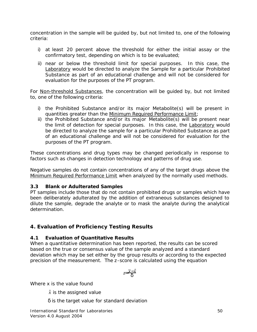concentration in the sample will be guided by, but not limited to, one of the following criteria:

- i) at least 20 percent above the threshold for either the initial assay or the confirmatory test, depending on which is to be evaluated;
- ii) near or below the threshold limit for special purposes. In this case, the Laboratory would be directed to analyze the *Sample* for a particular *Prohibited Substance* as part of an educational challenge and will not be considered for evaluation for the purposes of the PT program.

For Non-threshold Substances, the concentration will be guided by, but not limited to, one of the following criteria:

- i) the *Prohibited Substance* and/or its major *Metabolite(s)* will be present in quantities greater than the Minimum Required Performance Limit;
- ii) the *Prohibited Substance* and/or its major *Metabolite(s)* will be present near the limit of detection for special purposes. In this case, the Laboratory would be directed to analyze the sample for a particular *Prohibited Substance* as part of an educational challenge and will not be considered for evaluation for the purposes of the PT program.

These concentrations and drug types may be changed periodically in response to factors such as changes in detection technology and patterns of drug use.

Negative samples do not contain concentrations of any of the target drugs above the Minimum Required Performance Limit when analyzed by the normally used methods.

# **3.3 Blank or Adulterated** *Samples*

PT samples include those that do not contain prohibited drugs or samples which have been deliberately adulterated by the addition of extraneous substances designed to dilute the sample, degrade the analyte or to mask the analyte during the analytical determination.

# **4. Evaluation of Proficiency Testing Results**

# **4.1 Evaluation of Quantitative Results**

When a quantitative determination has been reported, the results can be scored based on the true or consensus value of the sample analyzed and a standard deviation which may be set either by the group results or according to the expected precision of the measurement. The z-score is calculated using the equation

$$
z = \frac{\overline{x} - \hat{x}}{d}
$$

Where x is the value found

 $\hat{x}$  is the assigned value

δ is the target value for standard deviation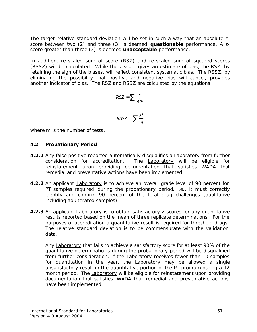The target relative standard deviation will be set in such a way that an absolute zscore between two (2) and three (3) is deemed **questionable** performance. A zscore greater than three (3) is deemed **unacceptable** performance.

In addition, re-scaled sum of score (RSZ) and re-scaled sum of squared scores (RSSZ) will be calculated. While the z score gives an estimate of bias, the RSZ, by retaining the sign of the biases, will reflect consistent systematic bias. The RSSZ, by eliminating the possibility that positive and negative bias will cancel, provides another indicator of bias. The RSZ and RSSZ are calculated by the equations

$$
RSZ = \sum \frac{z}{\sqrt{m}}
$$

$$
RSSZ = \sum \frac{z^2}{m}
$$

where m is the number of tests.

# **4.2 Probationary Period**

- **4.2.1** Any false positive reported automatically disqualifies a Laboratory from further consideration for accreditation. The Laboratory will be eligible for reinstatement upon providing documentation that satisfies *WADA* that remedial and preventative actions have been implemented.
- **4.2.2** An applicant Laboratory is to achieve an overall grade level of 90 percent for PT samples required during the probationary period, i.e., it must correctly identify and confirm 90 percent of the total drug challenges (qualitative including adulterated samples).
- **4.2.3** An applicant Laboratory is to obtain satisfactory Z-scores for any quantitative results reported based on the mean of three replicate determinations. For the purposes of accreditation a quantitative result is required for threshold drugs. The relative standard deviation is to be commensurate with the validation data.

Any Laboratory that fails to achieve a satisfactory score for at least 90% of the quantitative determinations during the probationary period will be disqualified from further consideration. If the Laboratory receives fewer than 10 samples for quantitation in the year, the Laboratory may be allowed a single unsatisfactory result in the quantitative portion of the PT program during a 12 month period. The Laboratory will be eligible for reinstatement upon providing documentation that satisfies *WADA* that remedial and preventative actions have been implemented.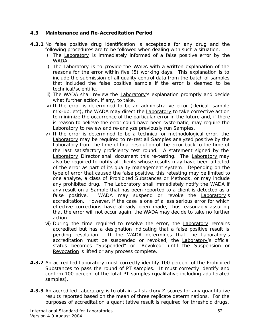# **4.3 Maintenance and Re-Accreditation Period**

- **4.3.1** No false positive drug identification is acceptable for any drug and the following procedures are to be followed when dealing with such a situation:
	- i) The Laboratory is immediately informed of a false positive error by the *WADA*.
	- ii) The Laboratory is to provide the *WADA* with a written explanation of the reasons for the error within five (5) working days. This explanation is to include the submission of all quality control data from the batch of samples that included the false positive sample if the error is deemed to be technical/scientific.
	- iii) The *WADA* shall review the Laboratory*'s* explanation promptly and decide what further action, if any, to take.
	- iv) If the error is determined to be an administrative error (clerical, sample mix-up, etc), the *WADA* may direct the Laboratory to take corrective action to minimize the occurrence of the particular error in the future and, if there is reason to believe the error could have been systematic, may require the Laboratory to review and re-analyze previously run *Samples*.
	- v) If the error is determined to be a technical or methodological error, the Laboratory may be required to re-test all *Samples* analyzed positive by the Laboratory from the time of final resolution of the error back to the time of the last satisfactory proficiency test round. A statement signed by the Laboratory Director shall document this re-testing. The Laboratory may also be required to notify all clients whose results may have been affected of the error as part of its quality management system. Depending on the type of error that caused the false positive, this retesting may be limited to one analyte, a class of *Prohibited Substances or Methods*, or may include any prohibited drug. The Laboratory shall immediately notify the *WADA* if any result on a *Sample* that has been reported to a client is detected as a false positive. *WADA* may suspend or revoke the Laboratory*'s* accreditation. However, if the case is one of a less serious error for which effective corrections have already been made, thus reasonably assuring that the error will not occur again, the *WADA* may decide to take no further action.
	- vi) During the time required to resolve the error, the **Laboratory** remains accredited but has a designation indicating that a false positive result is pending resolution. If the *WADA* determines that the Laboratory*'s* accreditation must be suspended or revoked, the Laboratory*'s* official status becomes "Suspended" or "Revoked" until the Suspension or Revocation is lifted or any process complete.
- **4.3.2** An accredited Laboratory must correctly identify 100 percent of the *Prohibited Substances* to pass the round of PT samples. It must correctly identify and confirm 100 percent of the total PT samples (qualitative including adulterated samples).
- **4.3.3** An accredited Laboratory is to obtain satisfactory Z-scores for any quantitative results reported based on the mean of three replicate determinations. For the purposes of accreditation a quantitative result is required for threshold drugs.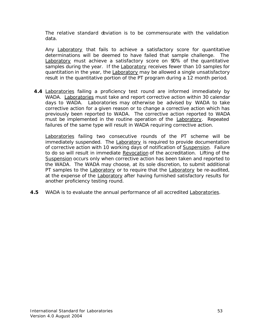The relative standard deviation is to be commensurate with the validation data.

Any Laboratory that fails to achieve a satisfactory score for quantitative determinations will be deemed to have failed that sample challenge. The Laboratory must achieve a satisfactory score on 90% of the quantitative samples during the year. If the Laboratory receives fewer than 10 samples for quantitation in the year, the Laboratory may be allowed a single unsatisfactory result in the quantitative portion of the PT program during a 12 month period.

**4.4** Laboratories failing a proficiency test round are informed immediately by *WADA*. Laboratories must take and report corrective action within 30 calendar days to *WADA*. Laboratories may otherwise be advised by *WADA* to take corrective action for a given reason or to change a corrective action which has previously been reported to *WADA*. The corrective action reported to *WADA* must be implemented in the routine operation of the **Laboratory**. Repeated failures of the same type will result in *WADA* requiring corrective action.

Laboratories failing two consecutive rounds of the PT scheme will be immediately suspended. The Laboratory is required to provide documentation of corrective action with 10 working days of notification of Suspension. Failure to do so will result in immediate Revocation of the accreditation. Lifting of the Suspension occurs only when corrective action has been taken and reported to the *WADA*. The *WADA* may choose, at its sole discretion, to submit additional PT samples to the Laboratory or to require that the Laboratory be re-audited, at the expense of the Laboratory after having furnished satisfactory results for another proficiency testing round.

**4.5** *WADA* is to evaluate the annual performance of all accredited Laboratories.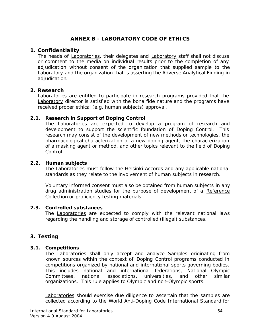# **ANNEX B - LABORATORY CODE OF ETHICS**

# **1. Confidentiality**

The heads of Laboratories, their delegates and Laboratory staff shall not discuss or comment to the media on individual results prior to the completion of any adjudication without consent of the organization that supplied sample to the Laboratory and the organization that is asserting the *Adverse Analytical Finding* in adjudication.

# **2. Research**

Laboratories are entitled to participate in research programs provided that the Laboratory director is satisfied with the *bona fide* nature and the programs have received proper ethical (e.g. human subjects) approval.

# **2.1. Research in Support of** *Doping Control*

The Laboratories are expected to develop a program of research and development to support the scientific foundation of *Doping Control*. This research may consist of the development of new methods or technologies, the pharmacological characterization of a new doping agent, the characterization of a masking agent or method, and other topics relevant to the field of *Doping Control*.

#### **2.2. Human subjects**

The Laboratories must follow the Helsinki Accords and any applicable national standards as they relate to the involvement of human subjects in research.

Voluntary informed consent must also be obtained from human subjects in any drug administration studies for the purpose of development of a Reference Collection or proficiency testing materials.

#### **2.3. Controlled substances**

The Laboratories are expected to comply with the relevant national laws regarding the handling and storage of controlled (illegal) substances.

# **3. Testing**

# **3.1. Competitions**

The Laboratories shall only accept and analyze *Samples* originating from known sources within the context of *Doping Control* programs conducted in competitions organized by national and international sports governing bodies. This includes national and international federations, *National Olympic Committees*, national associations, universities, and other similar organizations. This rule applies to Olympic and non-Olympic sports.

Laboratories should exercise due diligence to ascertain that the *samples* are collected according to the World Anti-Doping *Code International Standard* for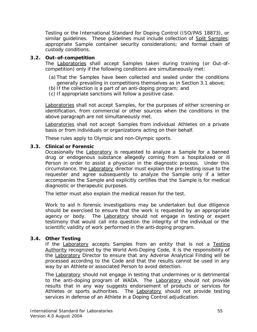Testing or the International Standard for Doping Control (ISO/PAS 18873), or similar guidelines. These guidelines must include collection of Split Samples; appropriate *Sample* container security considerations; and formal chain of custody conditions.

# **3.2.** *Out-of-competition*

The Laboratories shall accept *Samples* taken during training (or *Out-ofcompetition*) only if the following conditions are simultaneously met:

- (a)That the *Samples* have been collected and sealed under the conditions generally prevailing in competitions themselves as in Section 3.1 above;
- (b) If the collection is a part of an anti-doping program; and
- (c) If appropriate sanctions will follow a positive case.

Laboratories shall not accept *Samples*, for the purposes of either screening or identification, from commercial or other sources when the conditions in the above paragraph are not simultaneously met.

Laboratories shall not accept *Samples* from individual *Athletes* on a private basis or from individuals or organizations acting on their behalf.

These rules apply to Olympic and non-Olympic sports.

# **3.3. Clinical or Forensic**

Occasionally the Laboratory is requested to analyze a *Sample* for a banned drug or endogenous substance allegedly coming from a hospitalized or ill *Person* in order to assist a physician in the diagnostic process. Under this circumstance, the Laboratory director must explain the pre-testing issue to the requester and agree subsequently to analyze the *Sample* only if a letter accompanies the *Sample* and explicitly certifies that the *Sample* is for medical diagnostic or therapeutic purposes.

The letter must also explain the medical reason for the test.

Work to aid in forensic investigations may be undertaken but due diligence should be exercised to ensure that the work is requested by an appropriate agency or body. The Laboratory should not engage in testing or expert testimony that would call into question the integrity of the individual or the scientific validity of work performed in the anti-doping program.

# **3.4. Other Testing**

If the Laboratory accepts *Samples* from an entity that is not a Testing Authority recognized by the World Anti-Doping *Code*, it is the responsibility of the Laboratory Director to ensure that any *Adverse Analytical Finding* will be processed according to the *Code* and that the results cannot be used in any way by an *Athlete* or associated *Person* to avoid detection.

The Laboratory should not engage in testing that undermines or is detrimental to the anti-doping program of *WADA*. The Laboratory should not provide results that in any way suggests endorsement of products or services for *Athletes* or sports authorities. The Laboratory should not provide testing services in defense of an *Athlete* in a *Doping Control* adjudication.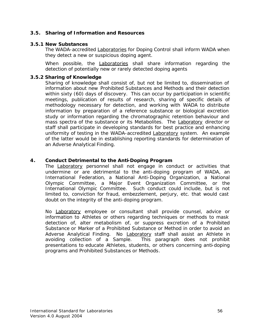# **3.5. Sharing of Information and Resources**

#### **3.5.1 New Substances**

The *WADA*-accredited Laboratories for *Doping Control* shall inform *WADA* when they detect a new or suspicious doping agent.

When possible, the Laboratories shall share information regarding the detection of potentially new or rarely detected doping agents

#### **3.5.2 Sharing of Knowledge**

Sharing of knowledge shall consist of, but not be limited to, dissemination of information about new *Prohibited Substances and Methods* and their detection within sixty (60) days of discovery. This can occur by participation in scientific meetings, publication of results of research, sharing of specific details of methodology necessary for detection, and working with *WADA* to distribute information by preparation of a reference substance or biological excretion study or information regarding the chromatographic retention behaviour and mass spectra of the substance or its *Metabolites*. The Laboratory director or staff shall participate in developing standards for best practice and enhancing uniformity of testing in the *WADA*-accredited Laboratory system. An example of the latter would be in establishing reporting standards for determination of an *Adverse Analytical Finding*.

# **4. Conduct Detrimental to the Anti-Doping Program**

The Laboratory personnel shall not engage in conduct or activities that undermine or are detrimental to the anti-doping program of *WADA*, an International Federation, a *National Anti-Doping Organization*, a *National Olympic Committee*, a *Major Event Organization* Committee, or the International Olympic Committee. Such conduct could include, but is not limited to, conviction for fraud, embezzlement, perjury, etc. that would cast doubt on the integrity of the anti-doping program.

No Laboratory employee or consultant shall provide counsel, advice or information to *Athletes* or others regarding techniques or methods to mask detection of, alter metabolism of, or suppress excretion of a *Prohibited Substance* or *Marker* of a *Prohibited Substance* or Method in order to avoid an *Adverse Analytical Finding*. No Laboratory staff shall assist an *Athlete* in avoiding collection of a *Sample*. This paragraph does not prohibit presentations to educate *Athletes*, students, or others concerning anti-doping programs and *Prohibited Substances* or *Methods*.